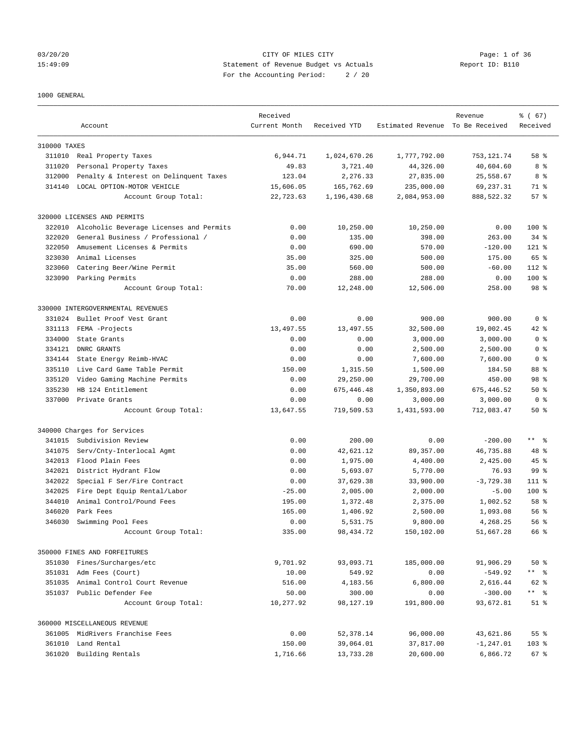# 03/20/20 Page: 1 of 36 15:49:09 Statement of Revenue Budget vs Actuals Report ID: B110 For the Accounting Period: 2 / 20

1000 GENERAL

|              | Account                                 | Received<br>Current Month | Received YTD | Estimated Revenue To Be Received | Revenue      | % (67)<br>Received |
|--------------|-----------------------------------------|---------------------------|--------------|----------------------------------|--------------|--------------------|
| 310000 TAXES |                                         |                           |              |                                  |              |                    |
|              | 311010 Real Property Taxes              | 6,944.71                  | 1,024,670.26 | 1,777,792.00                     | 753, 121.74  | 58 %               |
| 311020       | Personal Property Taxes                 | 49.83                     | 3,721.40     | 44,326.00                        | 40,604.60    | 8 %                |
| 312000       | Penalty & Interest on Delinquent Taxes  | 123.04                    | 2,276.33     | 27,835.00                        | 25,558.67    | 8%                 |
| 314140       | LOCAL OPTION-MOTOR VEHICLE              | 15,606.05                 | 165,762.69   | 235,000.00                       | 69,237.31    | 71 %               |
|              | Account Group Total:                    | 22,723.63                 | 1,196,430.68 | 2,084,953.00                     | 888, 522.32  | 57%                |
|              | 320000 LICENSES AND PERMITS             |                           |              |                                  |              |                    |
| 322010       | Alcoholic Beverage Licenses and Permits | 0.00                      | 10,250.00    | 10,250.00                        | 0.00         | $100$ %            |
| 322020       | General Business / Professional /       | 0.00                      | 135.00       | 398.00                           | 263.00       | $34$ $%$           |
| 322050       | Amusement Licenses & Permits            | 0.00                      | 690.00       | 570.00                           | $-120.00$    | $121$ %            |
| 323030       | Animal Licenses                         | 35.00                     | 325.00       | 500.00                           | 175.00       | 65 %               |
| 323060       | Catering Beer/Wine Permit               | 35.00                     | 560.00       | 500.00                           | $-60.00$     | $112$ %            |
| 323090       | Parking Permits                         | 0.00                      | 288.00       | 288.00                           | 0.00         | 100 %              |
|              | Account Group Total:                    | 70.00                     | 12,248.00    | 12,506.00                        | 258.00       | 98 %               |
|              | 330000 INTERGOVERNMENTAL REVENUES       |                           |              |                                  |              |                    |
| 331024       | Bullet Proof Vest Grant                 | 0.00                      | 0.00         | 900.00                           | 900.00       | 0 <sup>8</sup>     |
| 331113       | FEMA -Projects                          | 13, 497.55                | 13,497.55    | 32,500.00                        | 19,002.45    | 42 %               |
| 334000       | State Grants                            | 0.00                      | 0.00         | 3,000.00                         | 3,000.00     | 0 <sup>8</sup>     |
| 334121       | DNRC GRANTS                             | 0.00                      | 0.00         | 2,500.00                         | 2,500.00     | 0 <sup>8</sup>     |
| 334144       | State Energy Reimb-HVAC                 | 0.00                      | 0.00         | 7,600.00                         | 7,600.00     | 0 <sup>8</sup>     |
| 335110       | Live Card Game Table Permit             | 150.00                    | 1,315.50     | 1,500.00                         | 184.50       | 88 %               |
| 335120       | Video Gaming Machine Permits            | 0.00                      | 29,250.00    | 29,700.00                        | 450.00       | 98 %               |
| 335230       | HB 124 Entitlement                      | 0.00                      | 675,446.48   | 1,350,893.00                     | 675,446.52   | $50*$              |
| 337000       | Private Grants                          | 0.00                      | 0.00         | 3,000.00                         | 3,000.00     | 0 <sup>8</sup>     |
|              | Account Group Total:                    | 13,647.55                 | 719,509.53   | 1,431,593.00                     | 712,083.47   | $50*$              |
|              | 340000 Charges for Services             |                           |              |                                  |              |                    |
| 341015       | Subdivision Review                      | 0.00                      | 200.00       | 0.00                             | $-200.00$    | $***$ $ -$         |
| 341075       | Serv/Cnty-Interlocal Agmt               | 0.00                      | 42,621.12    | 89, 357.00                       | 46,735.88    | 48 %               |
| 342013       | Flood Plain Fees                        | 0.00                      | 1,975.00     | 4,400.00                         | 2,425.00     | $45$ %             |
| 342021       | District Hydrant Flow                   | 0.00                      | 5,693.07     | 5,770.00                         | 76.93        | 99 %               |
| 342022       | Special F Ser/Fire Contract             | 0.00                      | 37,629.38    | 33,900.00                        | $-3,729.38$  | $111$ %            |
| 342025       | Fire Dept Equip Rental/Labor            | $-25.00$                  | 2,005.00     | 2,000.00                         | $-5.00$      | $100$ %            |
| 344010       | Animal Control/Pound Fees               | 195.00                    | 1,372.48     | 2,375.00                         | 1,002.52     | 58 %               |
| 346020       | Park Fees                               | 165.00                    | 1,406.92     | 2,500.00                         | 1,093.08     | 56%                |
| 346030       | Swimming Pool Fees                      | 0.00                      | 5,531.75     | 9,800.00                         | 4,268.25     | 56%                |
|              | Account Group Total:                    | 335.00                    | 98, 434.72   | 150,102.00                       | 51,667.28    | 66 %               |
|              | 350000 FINES AND FORFEITURES            |                           |              |                                  |              |                    |
|              | 351030 Fines/Surcharges/etc             | 9,701.92                  | 93,093.71    | 185,000.00                       | 91,906.29    | $50*$              |
|              | 351031 Adm Fees (Court)                 | 10.00                     | 549.92       | 0.00                             | $-549.92$    | ** %               |
|              | 351035 Animal Control Court Revenue     | 516.00                    | 4,183.56     | 6,800.00                         | 2,616.44     | 62 %               |
|              | 351037 Public Defender Fee              | 50.00                     | 300.00       | 0.00                             | $-300.00$    |                    |
|              | Account Group Total:                    | 10,277.92                 | 98,127.19    | 191,800.00                       | 93,672.81    | $51$ %             |
|              | 360000 MISCELLANEOUS REVENUE            |                           |              |                                  |              |                    |
|              | 361005 MidRivers Franchise Fees         | 0.00                      | 52,378.14    | 96,000.00                        | 43,621.86    | 55 %               |
|              | 361010 Land Rental                      | 150.00                    | 39,064.01    | 37,817.00                        | $-1, 247.01$ | 103 %              |
|              | 361020 Building Rentals                 | 1,716.66                  | 13,733.28    | 20,600.00                        | 6,866.72     | 67 %               |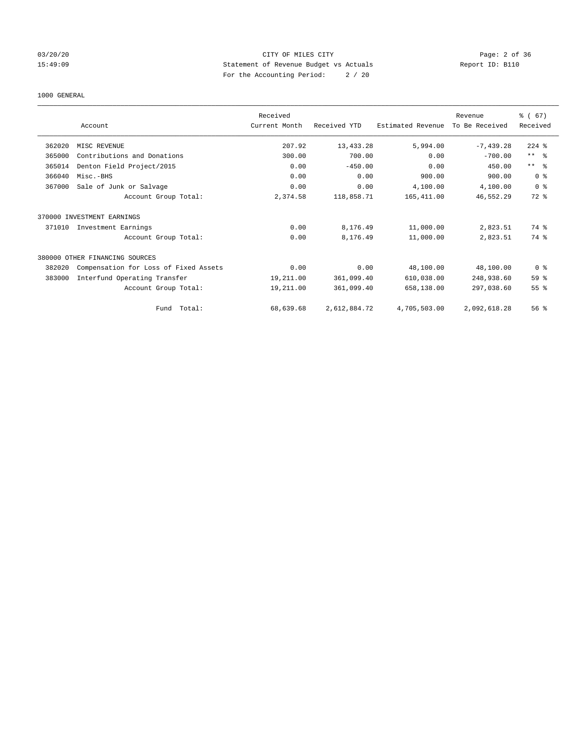# 03/20/20 Page: 2 of 36 15:49:09 Statement of Revenue Budget vs Actuals Report ID: B110 For the Accounting Period: 2 / 20

#### 1000 GENERAL

|        |                                       | Received      |              |                   | Revenue        | $\frac{3}{6}$ (67)      |
|--------|---------------------------------------|---------------|--------------|-------------------|----------------|-------------------------|
|        | Account                               | Current Month | Received YTD | Estimated Revenue | To Be Received | Received                |
| 362020 | MISC REVENUE                          | 207.92        | 13,433.28    | 5,994.00          | $-7,439.28$    | $224$ $%$               |
| 365000 | Contributions and Donations           | 300.00        | 700.00       | 0.00              | $-700.00$      | $***$ $=$ $\frac{6}{5}$ |
| 365014 | Denton Field Project/2015             | 0.00          | $-450.00$    | 0.00              | 450.00         | $***$ $ -$              |
| 366040 | Misc.-BHS                             | 0.00          | 0.00         | 900.00            | 900.00         | 0 <sup>8</sup>          |
| 367000 | Sale of Junk or Salvage               | 0.00          | 0.00         | 4,100.00          | 4,100.00       | 0 <sup>8</sup>          |
|        | Account Group Total:                  | 2,374.58      | 118,858.71   | 165,411.00        | 46,552.29      | 72 %                    |
|        | 370000 INVESTMENT EARNINGS            |               |              |                   |                |                         |
| 371010 | Investment Earnings                   | 0.00          | 8,176.49     | 11,000.00         | 2,823.51       | 74 %                    |
|        | Account Group Total:                  | 0.00          | 8,176.49     | 11,000.00         | 2,823.51       | 74 %                    |
|        | 380000 OTHER FINANCING SOURCES        |               |              |                   |                |                         |
| 382020 | Compensation for Loss of Fixed Assets | 0.00          | 0.00         | 48,100.00         | 48,100.00      | 0 <sup>8</sup>          |
| 383000 | Interfund Operating Transfer          | 19,211.00     | 361,099.40   | 610,038.00        | 248,938.60     | 59 %                    |
|        | Account Group Total:                  | 19,211.00     | 361,099.40   | 658,138.00        | 297,038.60     | 55%                     |
|        | Total:<br>Fund                        | 68,639.68     | 2,612,884.72 | 4,705,503.00      | 2,092,618.28   | $56$ $\frac{6}{3}$      |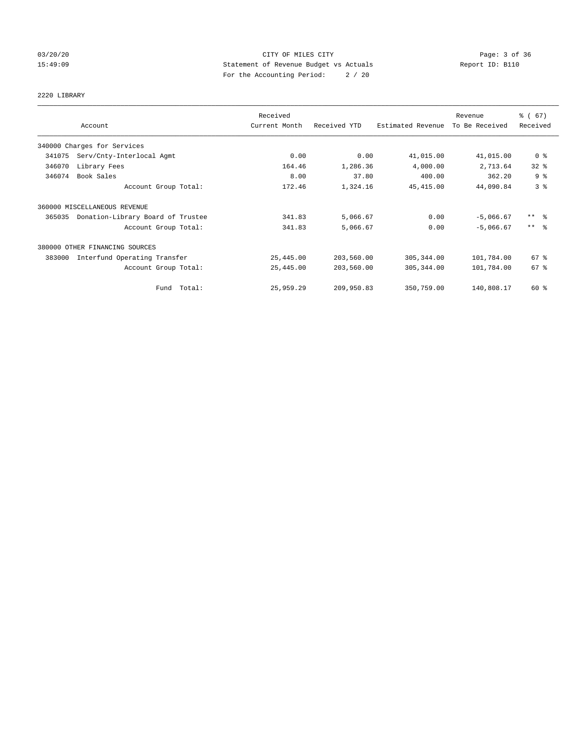# 03/20/20 Page: 3 of 36 15:49:09 Statement of Revenue Budget vs Actuals Report ID: B110 For the Accounting Period: 2 / 20

# 2220 LIBRARY

|        |                                   | Received      |              |                   | Revenue        | % (67)              |
|--------|-----------------------------------|---------------|--------------|-------------------|----------------|---------------------|
|        | Account                           | Current Month | Received YTD | Estimated Revenue | To Be Received | Received            |
|        | 340000 Charges for Services       |               |              |                   |                |                     |
| 341075 | Serv/Cnty-Interlocal Agmt         | 0.00          | 0.00         | 41,015.00         | 41,015.00      | 0 <sup>8</sup>      |
| 346070 | Library Fees                      | 164.46        | 1,286.36     | 4,000.00          | 2,713.64       | 32%                 |
| 346074 | Book Sales                        | 8.00          | 37.80        | 400.00            | 362.20         | 9 <sup>°</sup>      |
|        | Account Group Total:              | 172.46        | 1,324.16     | 45, 415.00        | 44,090.84      | 3 <sup>°</sup>      |
|        | 360000 MISCELLANEOUS REVENUE      |               |              |                   |                |                     |
| 365035 | Donation-Library Board of Trustee | 341.83        | 5,066.67     | 0.00              | $-5,066.67$    | $***$ $\frac{6}{5}$ |
|        | Account Group Total:              | 341.83        | 5,066.67     | 0.00              | $-5,066.67$    | $***$ $\approx$     |
|        | 380000 OTHER FINANCING SOURCES    |               |              |                   |                |                     |
| 383000 | Interfund Operating Transfer      | 25,445.00     | 203,560.00   | 305, 344.00       | 101,784.00     | 67%                 |
|        | Account Group Total:              | 25,445.00     | 203,560.00   | 305, 344.00       | 101,784.00     | 67 %                |
|        | Fund Total:                       | 25,959.29     | 209,950.83   | 350,759.00        | 140,808.17     | 60 %                |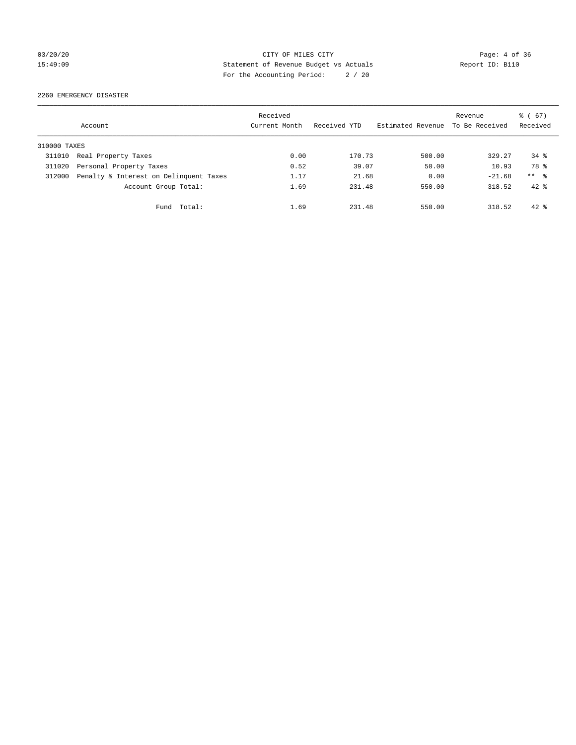03/20/20 Page: 4 of 36 15:49:09 Statement of Revenue Budget vs Actuals Report ID: B110 For the Accounting Period: 2 / 20

2260 EMERGENCY DISASTER

|              | Account                                | Received<br>Current Month | Received YTD | Estimated Revenue | Revenue<br>To Be Received | $\frac{6}{6}$ (67)<br>Received |
|--------------|----------------------------------------|---------------------------|--------------|-------------------|---------------------------|--------------------------------|
| 310000 TAXES |                                        |                           |              |                   |                           |                                |
| 311010       | Real Property Taxes                    | 0.00                      | 170.73       | 500.00            | 329.27                    | $34$ $%$                       |
| 311020       | Personal Property Taxes                | 0.52                      | 39.07        | 50.00             | 10.93                     | 78 %                           |
| 312000       | Penalty & Interest on Delinquent Taxes | 1.17                      | 21.68        | 0.00              | $-21.68$                  | ** %                           |
|              | Account Group Total:                   | 1.69                      | 231.48       | 550.00            | 318.52                    | $42*$                          |
|              | Total:<br>Fund                         | 1.69                      | 231.48       | 550.00            | 318.52                    | $42*$                          |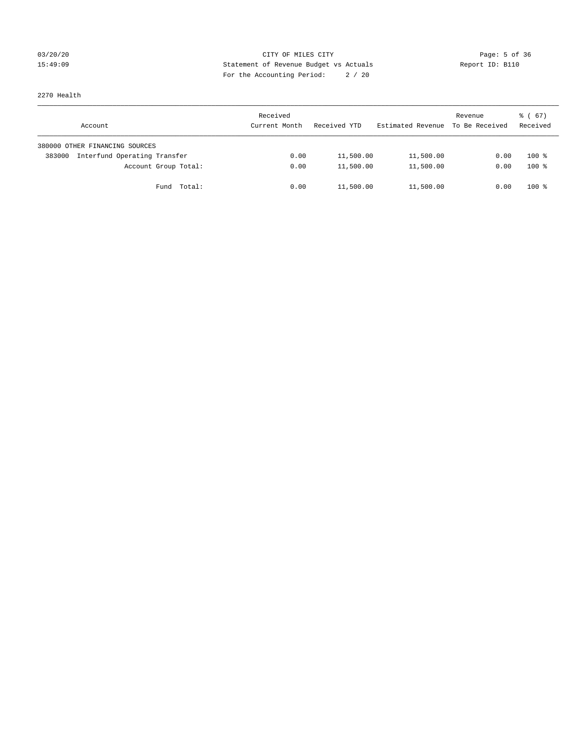# 03/20/20 Page: 5 of 36 15:49:09 Statement of Revenue Budget vs Actuals Report ID: B110 For the Accounting Period: 2 / 20

2270 Health

| Account                                | Received<br>Current Month | Received YTD | Estimated Revenue | Revenue<br>To Be Received | $\frac{3}{6}$ (67)<br>Received |
|----------------------------------------|---------------------------|--------------|-------------------|---------------------------|--------------------------------|
| 380000 OTHER FINANCING SOURCES         |                           |              |                   |                           |                                |
| Interfund Operating Transfer<br>383000 | 0.00                      | 11,500.00    | 11,500.00         | 0.00                      | $100*$                         |
| Account Group Total:                   | 0.00                      | 11,500.00    | 11,500.00         | 0.00                      | $100*$                         |
| Fund Total:                            | 0.00                      | 11,500.00    | 11,500.00         | 0.00                      | $100*$                         |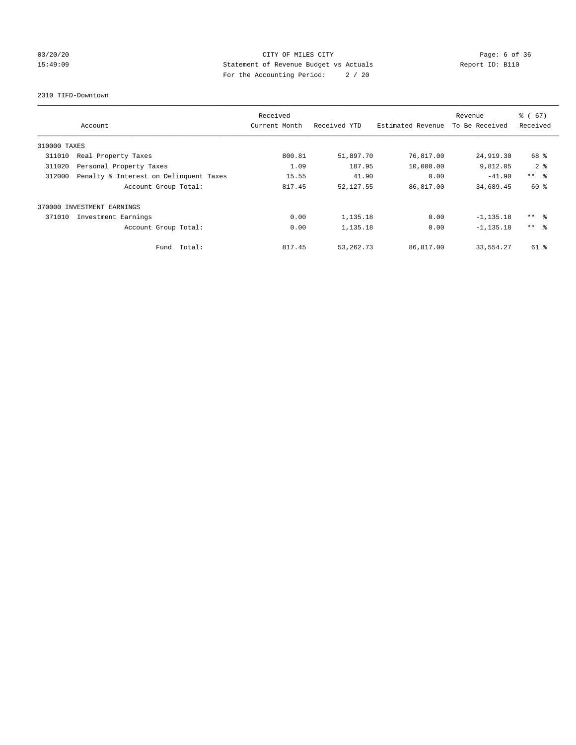# 03/20/20 Page: 6 of 36 15:49:09 Statement of Revenue Budget vs Actuals Report ID: B110 For the Accounting Period: 2 / 20

### 2310 TIFD-Downtown

|              |                                        | Received      |              |                   | Revenue        | % (67)          |
|--------------|----------------------------------------|---------------|--------------|-------------------|----------------|-----------------|
|              | Account                                | Current Month | Received YTD | Estimated Revenue | To Be Received | Received        |
| 310000 TAXES |                                        |               |              |                   |                |                 |
| 311010       | Real Property Taxes                    | 800.81        | 51,897.70    | 76,817.00         | 24,919.30      | 68 %            |
| 311020       | Personal Property Taxes                | 1.09          | 187.95       | 10,000.00         | 9,812.05       | 2 <sup>8</sup>  |
| 312000       | Penalty & Interest on Delinquent Taxes | 15.55         | 41.90        | 0.00              | $-41.90$       | $***$ $ -$      |
|              | Account Group Total:                   | 817.45        | 52,127.55    | 86,817.00         | 34,689.45      | 60 %            |
|              | 370000 INVESTMENT EARNINGS             |               |              |                   |                |                 |
| 371010       | Investment Earnings                    | 0.00          | 1,135.18     | 0.00              | $-1, 135.18$   | ** 왕            |
|              | Account Group Total:                   | 0.00          | 1,135.18     | 0.00              | $-1, 135.18$   | $***$ $\approx$ |
|              | Total:<br>Fund                         | 817.45        | 53, 262. 73  | 86,817.00         | 33,554.27      | $61$ %          |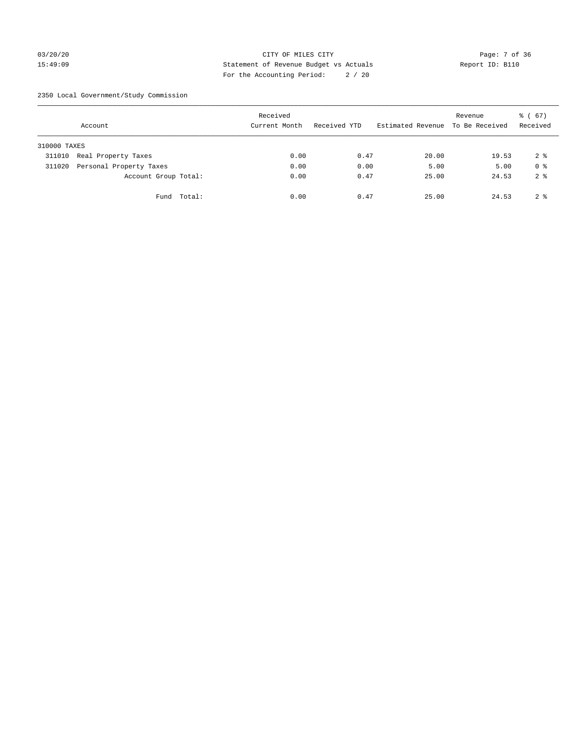# 03/20/20 Page: 7 of 36 CITY OF MILES CITY CONTROL Page: 7 of 36 15:49:09 Statement of Revenue Budget vs Actuals Report ID: B110 For the Accounting Period: 2 / 20

2350 Local Government/Study Commission

|              | Account                 |             | Received<br>Current Month |      | Received YTD |      | Estimated Revenue To Be Received | Revenue | 8 ( 67)<br>Received |
|--------------|-------------------------|-------------|---------------------------|------|--------------|------|----------------------------------|---------|---------------------|
| 310000 TAXES |                         |             |                           |      |              |      |                                  |         |                     |
| 311010       | Real Property Taxes     |             |                           | 0.00 |              | 0.47 | 20.00                            | 19.53   | 2 <sup>8</sup>      |
| 311020       | Personal Property Taxes |             |                           | 0.00 |              | 0.00 | 5.00                             | 5.00    | 0 <sup>8</sup>      |
|              | Account Group Total:    |             |                           | 0.00 |              | 0.47 | 25.00                            | 24.53   | 2 <sup>8</sup>      |
|              |                         | Fund Total: |                           | 0.00 |              | 0.47 | 25.00                            | 24.53   | 2 <sup>8</sup>      |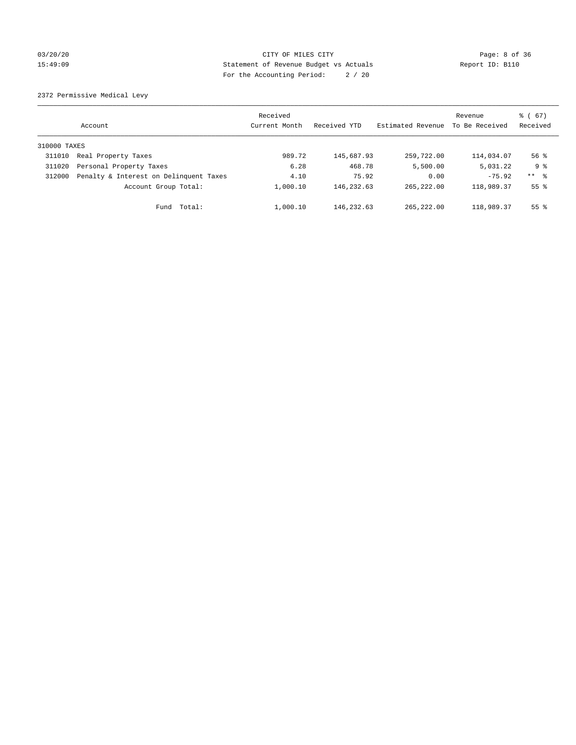# 03/20/20 Page: 8 of 36 15:49:09 Statement of Revenue Budget vs Actuals Report ID: B110 For the Accounting Period: 2 / 20

2372 Permissive Medical Levy

|              | Account                                | Received<br>Current Month | Received YTD | Estimated Revenue | Revenue<br>To Be Received | $\frac{6}{6}$ (67)<br>Received |
|--------------|----------------------------------------|---------------------------|--------------|-------------------|---------------------------|--------------------------------|
| 310000 TAXES |                                        |                           |              |                   |                           |                                |
| 311010       | Real Property Taxes                    | 989.72                    | 145,687.93   | 259,722.00        | 114,034.07                | $56$ $\frac{6}{3}$             |
| 311020       | Personal Property Taxes                | 6.28                      | 468.78       | 5,500.00          | 5,031.22                  | 9 %                            |
| 312000       | Penalty & Interest on Delinquent Taxes | 4.10                      | 75.92        | 0.00              | $-75.92$                  | ** 8                           |
|              | Account Group Total:                   | 1,000.10                  | 146,232.63   | 265, 222, 00      | 118,989.37                | 55 <sup>8</sup>                |
|              | Total:<br>Fund                         | 1,000.10                  | 146, 232.63  | 265, 222, 00      | 118,989.37                | 55 <sup>8</sup>                |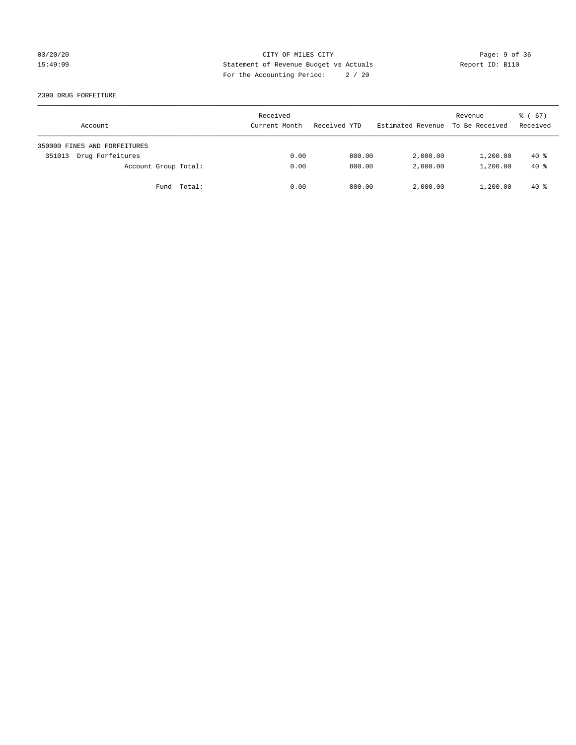# 03/20/20 Page: 9 of 36 15:49:09 Statement of Revenue Budget vs Actuals Report ID: B110 For the Accounting Period: 2 / 20

2390 DRUG FORFEITURE

| Account                      | Received<br>Current Month | Received YTD | Estimated Revenue | Revenue<br>To Be Received | 8 ( 67)<br>Received |
|------------------------------|---------------------------|--------------|-------------------|---------------------------|---------------------|
| 350000 FINES AND FORFEITURES |                           |              |                   |                           |                     |
| Drug Forfeitures<br>351013   | 0.00                      | 800.00       | 2,000.00          | 1,200.00                  | $40*$               |
| Account Group Total:         | 0.00                      | 800.00       | 2,000.00          | 1,200.00                  | $40*$               |
| Fund Total:                  | 0.00                      | 800.00       | 2,000.00          | 1,200.00                  | $40*$               |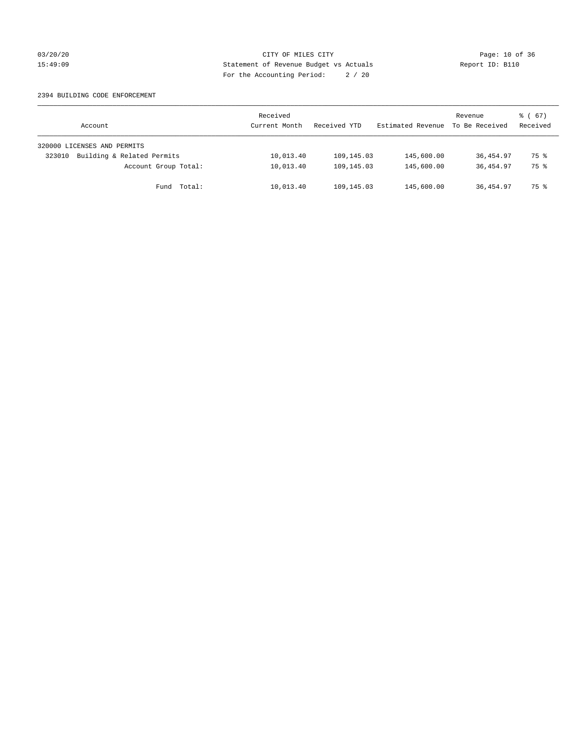# 03/20/20 Page: 10 of 36 CITY OF MILES CITY CONTROL PAGE: 10 of 36 15:49:09 Statement of Revenue Budget vs Actuals Report ID: B110 For the Accounting Period: 2 / 20

### 2394 BUILDING CODE ENFORCEMENT

| Account                              | Received<br>Current Month | Received YTD | Estimated Revenue | Revenue<br>To Be Received | 8 ( 67)<br>Received |
|--------------------------------------|---------------------------|--------------|-------------------|---------------------------|---------------------|
| 320000 LICENSES AND PERMITS          |                           |              |                   |                           |                     |
| Building & Related Permits<br>323010 | 10,013.40                 | 109,145.03   | 145,600.00        | 36,454.97                 | 75 %                |
| Account Group Total:                 | 10,013.40                 | 109,145.03   | 145,600.00        | 36,454.97                 | 75 %                |
| Fund Total:                          | 10,013.40                 | 109,145.03   | 145,600.00        | 36,454.97                 | 75 %                |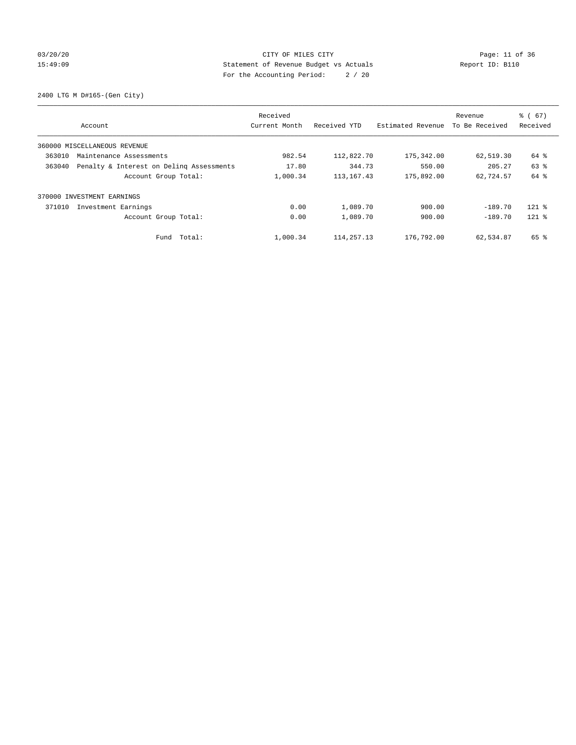# 03/20/20 Page: 11 of 36 CITY OF MILES CITY CHE CITY PAGE: 11 of 36 15:49:09 Statement of Revenue Budget vs Actuals Report ID: B110 For the Accounting Period: 2 / 20

2400 LTG M D#165-(Gen City)

|        |                                          | Received      |              |                   | Revenue        | $\frac{6}{6}$ (67) |
|--------|------------------------------------------|---------------|--------------|-------------------|----------------|--------------------|
|        | Account                                  | Current Month | Received YTD | Estimated Revenue | To Be Received | Received           |
|        | 360000 MISCELLANEOUS REVENUE             |               |              |                   |                |                    |
| 363010 | Maintenance Assessments                  | 982.54        | 112,822.70   | 175,342.00        | 62,519.30      | 64 %               |
| 363040 | Penalty & Interest on Deling Assessments | 17.80         | 344.73       | 550.00            | 205.27         | 63 %               |
|        | Account Group Total:                     | 1,000.34      | 113, 167. 43 | 175,892.00        | 62,724.57      | 64 %               |
|        | 370000 INVESTMENT EARNINGS               |               |              |                   |                |                    |
| 371010 | Investment Earnings                      | 0.00          | 1,089.70     | 900.00            | $-189.70$      | $121$ %            |
|        | Account Group Total:                     | 0.00          | 1,089.70     | 900.00            | $-189.70$      | $121$ %            |
|        | Fund Total:                              | 1,000.34      | 114, 257. 13 | 176,792.00        | 62,534.87      | 65 %               |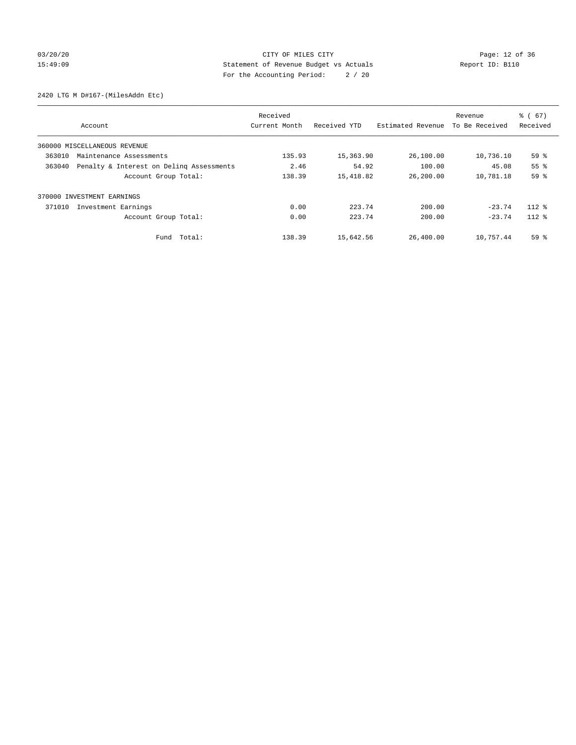# 03/20/20 Page: 12 of 36 CITY OF MILES CITY CHE CITY PAGE: 12 of 36 15:49:09 Statement of Revenue Budget vs Actuals Report ID: B110 For the Accounting Period: 2 / 20

2420 LTG M D#167-(MilesAddn Etc)

|        |                                          | Received      |              |                   | Revenue        | $\frac{6}{6}$ (67) |
|--------|------------------------------------------|---------------|--------------|-------------------|----------------|--------------------|
|        | Account                                  | Current Month | Received YTD | Estimated Revenue | To Be Received | Received           |
|        | 360000 MISCELLANEOUS REVENUE             |               |              |                   |                |                    |
| 363010 | Maintenance Assessments                  | 135.93        | 15,363.90    | 26,100.00         | 10,736.10      | 59%                |
| 363040 | Penalty & Interest on Deling Assessments | 2.46          | 54.92        | 100.00            | 45.08          | 55%                |
|        | Account Group Total:                     | 138.39        | 15,418.82    | 26,200.00         | 10,781.18      | 59 %               |
|        | 370000 INVESTMENT EARNINGS               |               |              |                   |                |                    |
| 371010 | Investment Earnings                      | 0.00          | 223.74       | 200.00            | $-23.74$       | $112*$             |
|        | Account Group Total:                     | 0.00          | 223.74       | 200.00            | $-23.74$       | $112*$             |
|        | Fund Total:                              | 138.39        | 15,642.56    | 26,400.00         | 10,757.44      | 59 %               |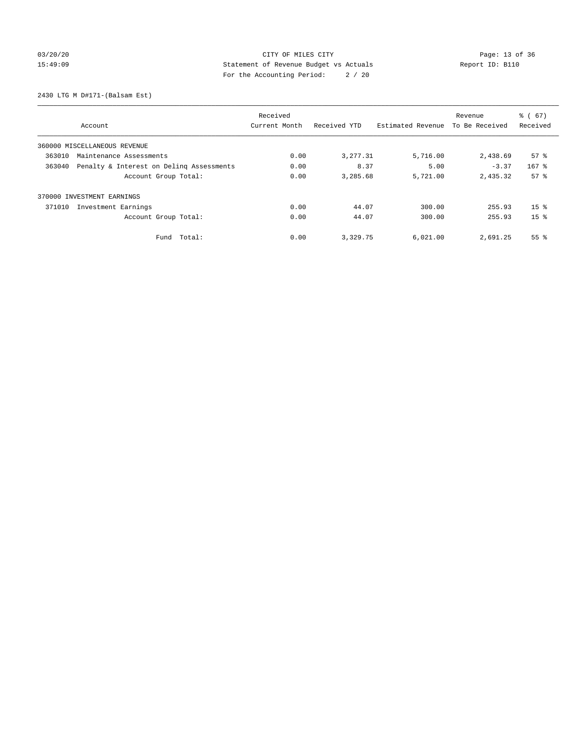# 03/20/20 Page: 13 of 36 CITY OF MILES CITY CONTROL PAGE: 13 of 36 15:49:09 Statement of Revenue Budget vs Actuals Report ID: B110 For the Accounting Period: 2 / 20

2430 LTG M D#171-(Balsam Est)

|                                                    | Received      |              |                   | Revenue        | $\frac{6}{6}$ (67) |
|----------------------------------------------------|---------------|--------------|-------------------|----------------|--------------------|
| Account                                            | Current Month | Received YTD | Estimated Revenue | To Be Received | Received           |
| 360000 MISCELLANEOUS REVENUE                       |               |              |                   |                |                    |
| 363010<br>Maintenance Assessments                  | 0.00          | 3,277.31     | 5,716.00          | 2,438.69       | $57*$              |
| 363040<br>Penalty & Interest on Deling Assessments | 0.00          | 8.37         | 5.00              | $-3.37$        | $167$ %            |
| Account Group Total:                               | 0.00          | 3,285.68     | 5,721.00          | 2,435.32       | 57 <sup>8</sup>    |
| 370000 INVESTMENT EARNINGS                         |               |              |                   |                |                    |
| 371010<br>Investment Earnings                      | 0.00          | 44.07        | 300.00            | 255.93         | 15 <sup>8</sup>    |
| Account Group Total:                               | 0.00          | 44.07        | 300.00            | 255.93         | 15 <sup>8</sup>    |
| Total:<br>Fund                                     | 0.00          | 3,329.75     | 6,021.00          | 2,691.25       | 55 <sup>8</sup>    |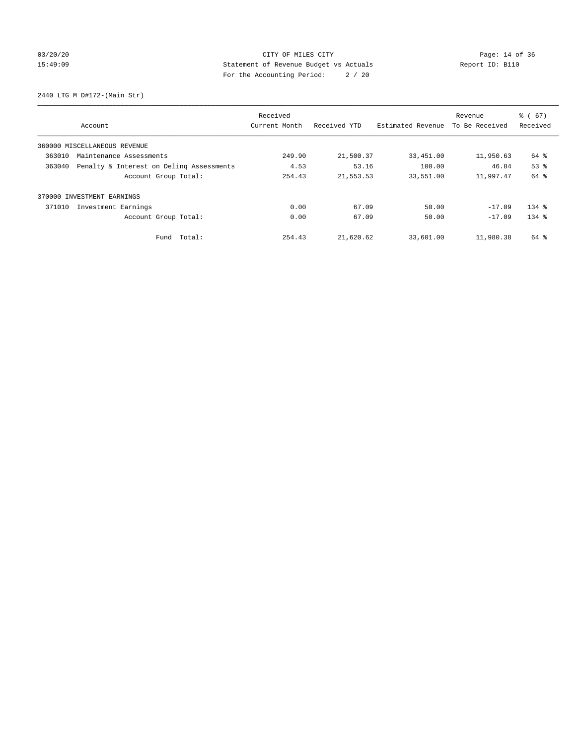# 03/20/20 Page: 14 of 36 CITY OF MILES CITY CHE CITY Page: 14 of 36 15:49:09 Statement of Revenue Budget vs Actuals Report ID: B110 For the Accounting Period: 2 / 20

2440 LTG M D#172-(Main Str)

|                                                    | Received      |              |                   | Revenue        | $\frac{6}{6}$ (67) |
|----------------------------------------------------|---------------|--------------|-------------------|----------------|--------------------|
| Account                                            | Current Month | Received YTD | Estimated Revenue | To Be Received | Received           |
| 360000 MISCELLANEOUS REVENUE                       |               |              |                   |                |                    |
| 363010<br>Maintenance Assessments                  | 249.90        | 21,500.37    | 33,451.00         | 11,950.63      | 64 %               |
| Penalty & Interest on Deling Assessments<br>363040 | 4.53          | 53.16        | 100.00            | 46.84          | 53 <sup>8</sup>    |
| Account Group Total:                               | 254.43        | 21,553.53    | 33,551.00         | 11,997.47      | 64 %               |
| INVESTMENT EARNINGS<br>370000                      |               |              |                   |                |                    |
| 371010<br>Investment Earnings                      | 0.00          | 67.09        | 50.00             | $-17.09$       | $134$ $%$          |
| Account Group Total:                               | 0.00          | 67.09        | 50.00             | $-17.09$       | $134$ $%$          |
| Fund Total:                                        | 254.43        | 21,620.62    | 33,601.00         | 11,980.38      | 64 %               |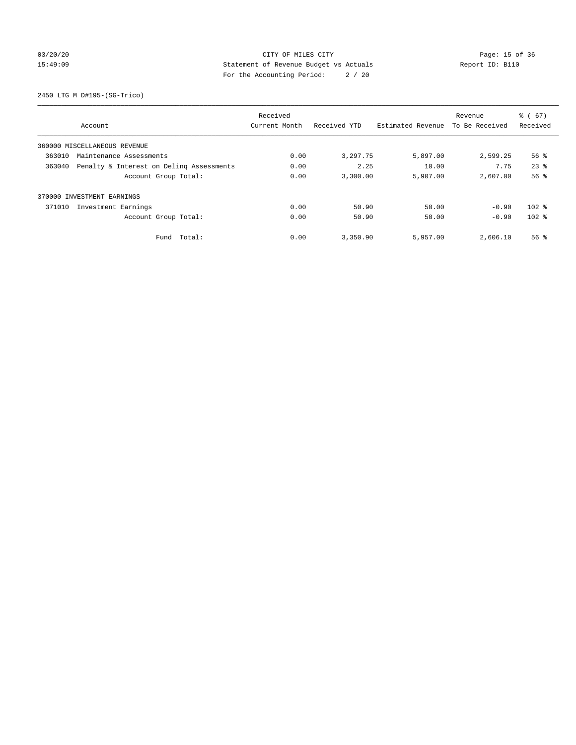# 03/20/20 Page: 15 of 36 CITY OF MILES CITY CONTROL PAGE: 15 of 36 15:49:09 Statement of Revenue Budget vs Actuals Report ID: B110 For the Accounting Period: 2 / 20

2450 LTG M D#195-(SG-Trico)

|                                                    | Received      |              |                   | Revenue        | $\frac{6}{6}$ (67) |
|----------------------------------------------------|---------------|--------------|-------------------|----------------|--------------------|
| Account                                            | Current Month | Received YTD | Estimated Revenue | To Be Received | Received           |
| 360000 MISCELLANEOUS REVENUE                       |               |              |                   |                |                    |
| 363010<br>Maintenance Assessments                  | 0.00          | 3,297.75     | 5,897.00          | 2,599.25       | 56 %               |
| 363040<br>Penalty & Interest on Deling Assessments | 0.00          | 2.25         | 10.00             | 7.75           | $23$ $%$           |
| Account Group Total:                               | 0.00          | 3,300.00     | 5,907.00          | 2,607.00       | 56 <sup>8</sup>    |
| 370000 INVESTMENT EARNINGS                         |               |              |                   |                |                    |
| 371010<br>Investment Earnings                      | 0.00          | 50.90        | 50.00             | $-0.90$        | $102$ %            |
| Account Group Total:                               | 0.00          | 50.90        | 50.00             | $-0.90$        | $102$ %            |
| Total:<br>Fund                                     | 0.00          | 3,350.90     | 5,957.00          | 2,606.10       | $56$ $\frac{6}{3}$ |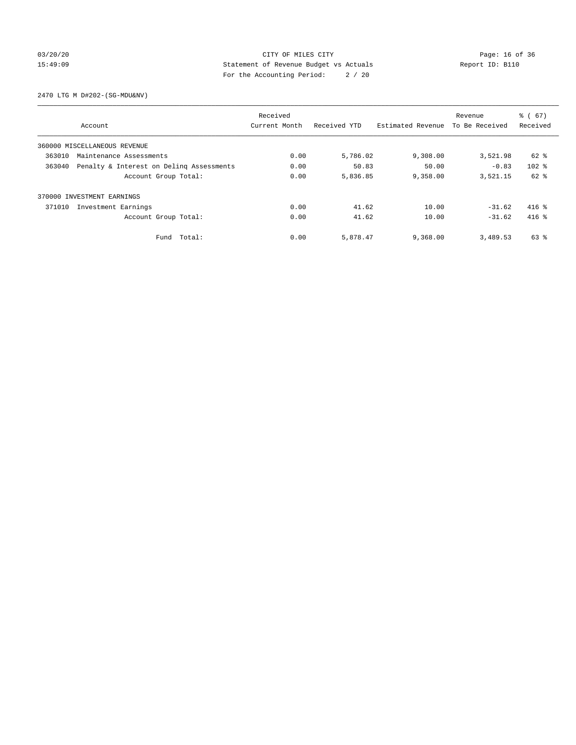# 03/20/20 Page: 16 of 36 CITY OF MILES CITY CONTROL PAGE: 16 of 36 15:49:09 Statement of Revenue Budget vs Actuals Report ID: B110 For the Accounting Period: 2 / 20

2470 LTG M D#202-(SG-MDU&NV)

|                                                    |                              |               |              | Revenue           | $\frac{6}{6}$ (67) |          |
|----------------------------------------------------|------------------------------|---------------|--------------|-------------------|--------------------|----------|
|                                                    | Account                      | Current Month | Received YTD | Estimated Revenue | To Be Received     | Received |
|                                                    | 360000 MISCELLANEOUS REVENUE |               |              |                   |                    |          |
| 363010                                             | Maintenance Assessments      | 0.00          | 5,786.02     | 9,308.00          | 3,521.98           | 62 %     |
| Penalty & Interest on Deling Assessments<br>363040 |                              | 0.00          | 50.83        | 50.00             | $-0.83$            | $102$ %  |
|                                                    | Account Group Total:         | 0.00          | 5,836.85     | 9,358.00          | 3,521.15           | $62$ $%$ |
|                                                    | 370000 INVESTMENT EARNINGS   |               |              |                   |                    |          |
| 371010                                             | Investment Earnings          | 0.00          | 41.62        | 10.00             | $-31.62$           | $416$ %  |
|                                                    | Account Group Total:         | 0.00          | 41.62        | 10.00             | $-31.62$           | $416$ %  |
|                                                    | Fund Total:                  | 0.00          | 5,878.47     | 9,368.00          | 3,489.53           | 63 %     |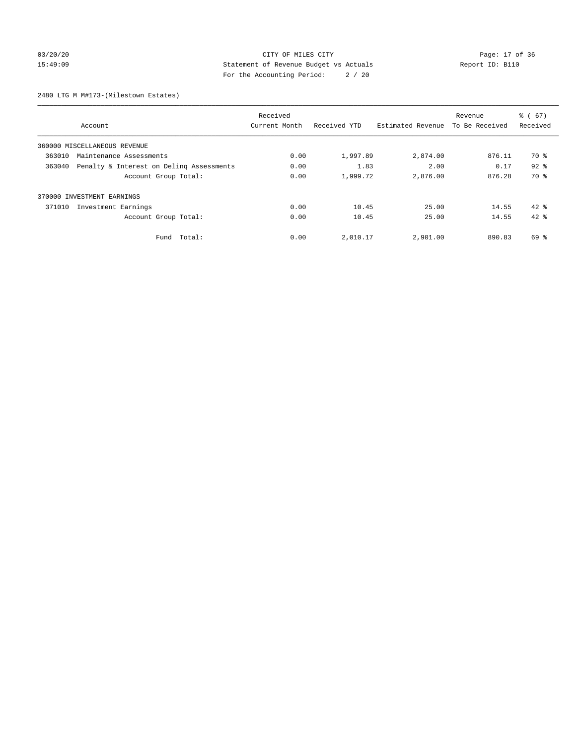# 03/20/20 Page: 17 of 36 CITY OF MILES CITY CONTROL PAGE: 17 OF 36 15:49:09 Statement of Revenue Budget vs Actuals Report ID: B110 For the Accounting Period: 2 / 20

2480 LTG M M#173-(Milestown Estates)

|        | Received                                 |               |              |                   |                | $\frac{6}{6}$ (67) |
|--------|------------------------------------------|---------------|--------------|-------------------|----------------|--------------------|
|        | Account                                  | Current Month | Received YTD | Estimated Revenue | To Be Received | Received           |
|        | 360000 MISCELLANEOUS REVENUE             |               |              |                   |                |                    |
| 363010 | Maintenance Assessments                  | 0.00          | 1,997.89     | 2,874.00          | 876.11         | 70 %               |
| 363040 | Penalty & Interest on Deling Assessments |               | 1.83         | 2.00              | 0.17           | $92$ $%$           |
|        | Account Group Total:                     | 0.00          | 1,999.72     | 2,876.00          | 876.28         | 70 %               |
|        | 370000 INVESTMENT EARNINGS               |               |              |                   |                |                    |
| 371010 | Investment Earnings                      | 0.00          | 10.45        | 25.00             | 14.55          | $42*$              |
|        | Account Group Total:                     | 0.00          | 10.45        | 25.00             | 14.55          | $42*$              |
|        | Fund Total:                              | 0.00          | 2,010.17     | 2,901.00          | 890.83         | 69 %               |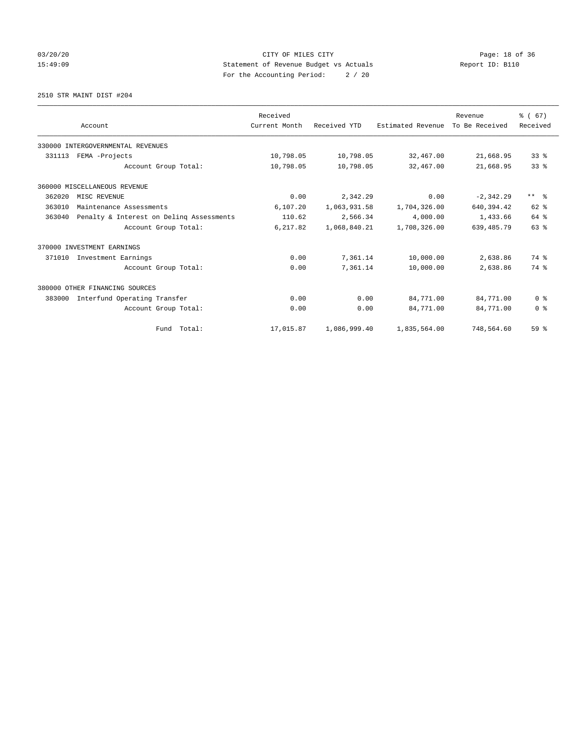# 03/20/20 Page: 18 of 36 CITY OF MILES CITY CONTROL PAGE: 18 of 36 15:49:09 Statement of Revenue Budget vs Actuals Report ID: B110 For the Accounting Period: 2 / 20

2510 STR MAINT DIST #204

|        |                                          | Received      |              |                   | Revenue        | % (67)          |
|--------|------------------------------------------|---------------|--------------|-------------------|----------------|-----------------|
|        | Account                                  | Current Month | Received YTD | Estimated Revenue | To Be Received | Received        |
|        | 330000 INTERGOVERNMENTAL REVENUES        |               |              |                   |                |                 |
| 331113 | FEMA -Projects                           | 10,798.05     | 10,798.05    | 32,467.00         | 21,668.95      | 33 <sup>8</sup> |
|        | Account Group Total:                     | 10,798.05     | 10,798.05    | 32,467.00         | 21,668.95      | 33%             |
|        | 360000 MISCELLANEOUS REVENUE             |               |              |                   |                |                 |
| 362020 | MISC REVENUE                             | 0.00          | 2,342.29     | 0.00              | $-2,342.29$    | $***$ $ -$      |
| 363010 | Maintenance Assessments                  | 6,107.20      | 1,063,931.58 | 1,704,326.00      | 640, 394.42    | 62 %            |
| 363040 | Penalty & Interest on Deling Assessments | 110.62        | 2,566.34     | 4,000.00          | 1,433.66       | 64 %            |
|        | Account Group Total:                     | 6,217.82      | 1,068,840.21 | 1,708,326.00      | 639, 485. 79   | 63 %            |
|        | 370000 INVESTMENT EARNINGS               |               |              |                   |                |                 |
| 371010 | Investment Earnings                      | 0.00          | 7,361.14     | 10,000.00         | 2,638.86       | 74 %            |
|        | Account Group Total:                     | 0.00          | 7,361.14     | 10,000.00         | 2,638.86       | 74 %            |
|        | 380000 OTHER FINANCING SOURCES           |               |              |                   |                |                 |
| 383000 | Interfund Operating Transfer             | 0.00          | 0.00         | 84,771.00         | 84,771.00      | 0 <sup>8</sup>  |
|        | Account Group Total:                     | 0.00          | 0.00         | 84,771.00         | 84,771.00      | 0 <sup>8</sup>  |
|        | Fund Total:                              | 17,015.87     | 1,086,999.40 | 1,835,564.00      | 748,564.60     | 59 <sup>°</sup> |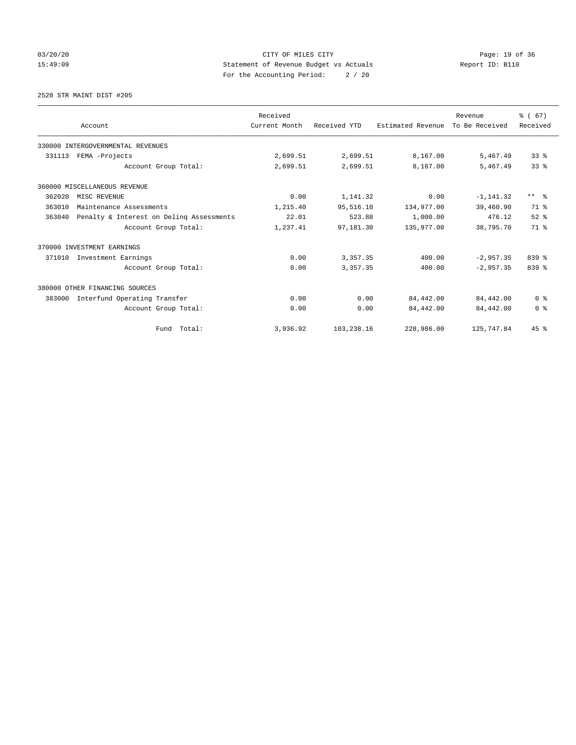# 03/20/20 Page: 19 of 36 CITY OF MILES CITY CONTROL PAGE: 19 Of 36 15:49:09 Statement of Revenue Budget vs Actuals Report ID: B110 For the Accounting Period: 2 / 20

2520 STR MAINT DIST #205

|        |                                          | Received      |              |                   | Revenue        | % (67)                  |
|--------|------------------------------------------|---------------|--------------|-------------------|----------------|-------------------------|
|        | Account                                  | Current Month | Received YTD | Estimated Revenue | To Be Received | Received                |
|        | 330000 INTERGOVERNMENTAL REVENUES        |               |              |                   |                |                         |
| 331113 | FEMA -Projects                           | 2,699.51      | 2,699.51     | 8,167.00          | 5,467.49       | 33 <sup>8</sup>         |
|        | Account Group Total:                     | 2,699.51      | 2,699.51     | 8,167.00          | 5,467.49       | 33 <sup>8</sup>         |
|        | 360000 MISCELLANEOUS REVENUE             |               |              |                   |                |                         |
| 362020 | MISC REVENUE                             | 0.00          | 1,141.32     | 0.00              | $-1, 141.32$   | $***$ $=$ $\frac{6}{5}$ |
| 363010 | Maintenance Assessments                  | 1,215.40      | 95,516.10    | 134,977.00        | 39,460.90      | 71 %                    |
| 363040 | Penalty & Interest on Deling Assessments | 22.01         | 523.88       | 1,000.00          | 476.12         | $52$ $%$                |
|        | Account Group Total:                     | 1,237.41      | 97,181.30    | 135,977.00        | 38,795.70      | 71.8                    |
|        | 370000 INVESTMENT EARNINGS               |               |              |                   |                |                         |
| 371010 | Investment Earnings                      | 0.00          | 3,357.35     | 400.00            | $-2.957.35$    | $839$ $%$               |
|        | Account Group Total:                     | 0.00          | 3,357.35     | 400.00            | $-2,957.35$    | 839 %                   |
|        | 380000 OTHER FINANCING SOURCES           |               |              |                   |                |                         |
| 383000 | Interfund Operating Transfer             | 0.00          | 0.00         | 84,442.00         | 84,442.00      | 0 <sup>8</sup>          |
|        | Account Group Total:                     | 0.00          | 0.00         | 84,442.00         | 84,442.00      | 0 <sup>8</sup>          |
|        | Fund Total:                              | 3,936.92      | 103,238.16   | 228,986.00        | 125,747.84     | 45%                     |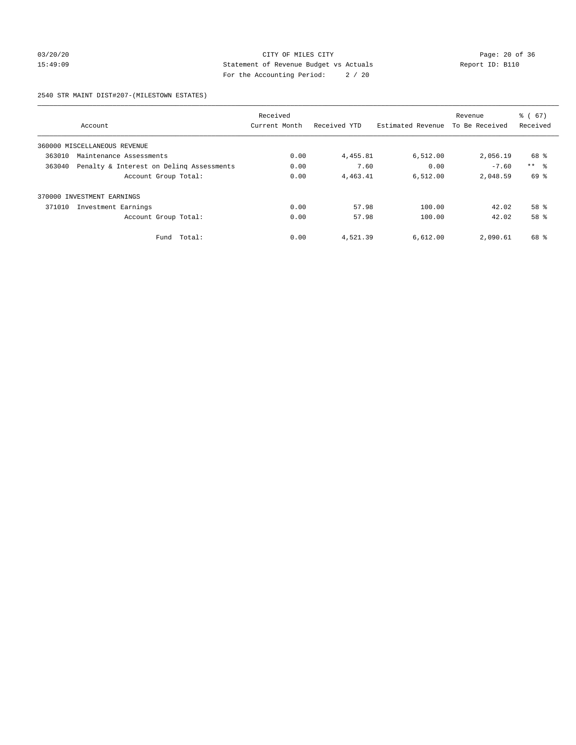# 03/20/20 Page: 20 of 36 CITY OF MILES CITY CONTROL PAGE: 20 of 36 15:49:09 Statement of Revenue Budget vs Actuals Report ID: B110 For the Accounting Period: 2 / 20

### 2540 STR MAINT DIST#207-(MILESTOWN ESTATES)

|        |                                          | Received      |              |                   | Revenue        | $\frac{6}{6}$ (67) |
|--------|------------------------------------------|---------------|--------------|-------------------|----------------|--------------------|
|        | Account                                  | Current Month | Received YTD | Estimated Revenue | To Be Received | Received           |
|        | 360000 MISCELLANEOUS REVENUE             |               |              |                   |                |                    |
| 363010 | Maintenance Assessments                  | 0.00          | 4,455.81     | 6,512.00          | 2,056.19       | 68 %               |
| 363040 | Penalty & Interest on Deling Assessments | 0.00          | 7.60         | 0.00              | $-7.60$        | $***$ $\approx$    |
|        | Account Group Total:                     | 0.00          | 4,463.41     | 6.512.00          | 2,048.59       | 69 %               |
| 370000 | INVESTMENT EARNINGS                      |               |              |                   |                |                    |
| 371010 | Investment Earnings                      | 0.00          | 57.98        | 100.00            | 42.02          | $58*$              |
|        | Account Group Total:                     | 0.00          | 57.98        | 100.00            | 42.02          | 58 %               |
|        | Total:<br>Fund                           | 0.00          | 4,521.39     | 6,612.00          | 2,090.61       | 68 %               |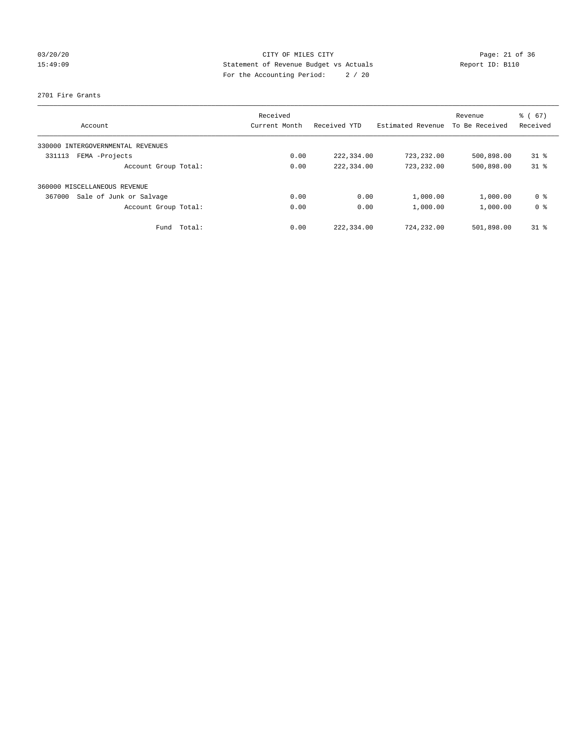# 03/20/20 Page: 21 of 36 CITY OF MILES CITY CHE CITY PAGE: 21 of 36 15:49:09 Statement of Revenue Budget vs Actuals Report ID: B110 For the Accounting Period: 2 / 20

### 2701 Fire Grants

| Account                              | Received<br>Current Month | Received YTD | Estimated Revenue | Revenue<br>To Be Received | $\frac{6}{6}$ (67)<br>Received |
|--------------------------------------|---------------------------|--------------|-------------------|---------------------------|--------------------------------|
|                                      |                           |              |                   |                           |                                |
| INTERGOVERNMENTAL REVENUES<br>330000 |                           |              |                   |                           |                                |
| FEMA -Projects<br>331113             | 0.00                      | 222,334.00   | 723,232.00        | 500,898.00                | $31$ %                         |
| Account Group Total:                 | 0.00                      | 222,334.00   | 723,232.00        | 500,898.00                | $31*$                          |
| 360000 MISCELLANEOUS REVENUE         |                           |              |                   |                           |                                |
| Sale of Junk or Salvage<br>367000    | 0.00                      | 0.00         | 1,000.00          | 1,000.00                  | 0 %                            |
| Account Group Total:                 | 0.00                      | 0.00         | 1,000.00          | 1,000.00                  | 0 <sup>8</sup>                 |
| Total:<br>Fund                       | 0.00                      | 222,334.00   | 724,232.00        | 501,898.00                | $31$ %                         |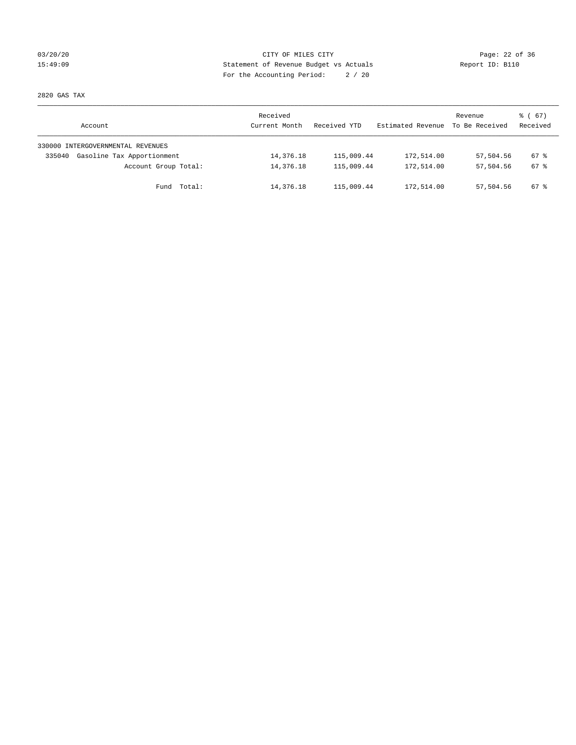# 03/20/20 Page: 22 of 36 15:49:09 Statement of Revenue Budget vs Actuals Report ID: B110 For the Accounting Period: 2 / 20

2820 GAS TAX

| Account                              | Received<br>Current Month | Received YTD | Estimated Revenue | Revenue<br>To Be Received | $\frac{1}{6}$ (67)<br>Received |
|--------------------------------------|---------------------------|--------------|-------------------|---------------------------|--------------------------------|
| 330000 INTERGOVERNMENTAL REVENUES    |                           |              |                   |                           |                                |
| Gasoline Tax Apportionment<br>335040 | 14,376.18                 | 115,009.44   | 172,514.00        | 57,504.56                 | 67 %                           |
| Account Group Total:                 | 14,376.18                 | 115,009.44   | 172,514.00        | 57,504.56                 | 67 %                           |
| Total:<br>Fund                       | 14,376.18                 | 115,009.44   | 172,514.00        | 57,504.56                 | 67 %                           |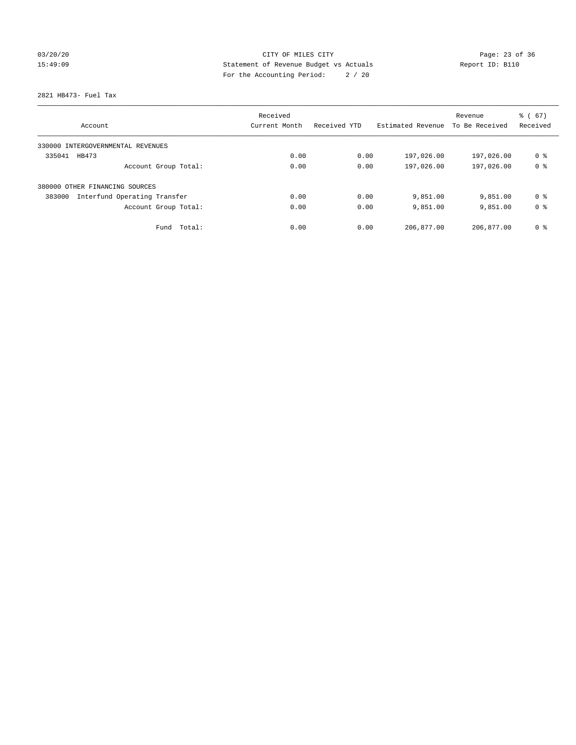# 03/20/20 Page: 23 of 36 Page: 23 Of 36 Page: 23 Of 36 Page: 23 Of 36 Page: 23 Of 36 15:49:09 Statement of Revenue Budget vs Actuals Report ID: B110 For the Accounting Period: 2 / 20

2821 HB473- Fuel Tax

|                                        | Received      |              |                   | Revenue        | % (67)         |
|----------------------------------------|---------------|--------------|-------------------|----------------|----------------|
| Account                                | Current Month | Received YTD | Estimated Revenue | To Be Received | Received       |
| 330000 INTERGOVERNMENTAL REVENUES      |               |              |                   |                |                |
| 335041<br>HB473                        | 0.00          | 0.00         | 197,026.00        | 197,026.00     | 0 %            |
| Account Group Total:                   | 0.00          | 0.00         | 197,026.00        | 197,026.00     | 0 <sup>8</sup> |
| 380000 OTHER FINANCING SOURCES         |               |              |                   |                |                |
| 383000<br>Interfund Operating Transfer | 0.00          | 0.00         | 9,851.00          | 9,851.00       | 0 <sup>8</sup> |
| Account Group Total:                   | 0.00          | 0.00         | 9,851.00          | 9,851.00       | 0 <sup>8</sup> |
| Total:<br>Fund                         | 0.00          | 0.00         | 206,877.00        | 206,877.00     | 0 <sup>8</sup> |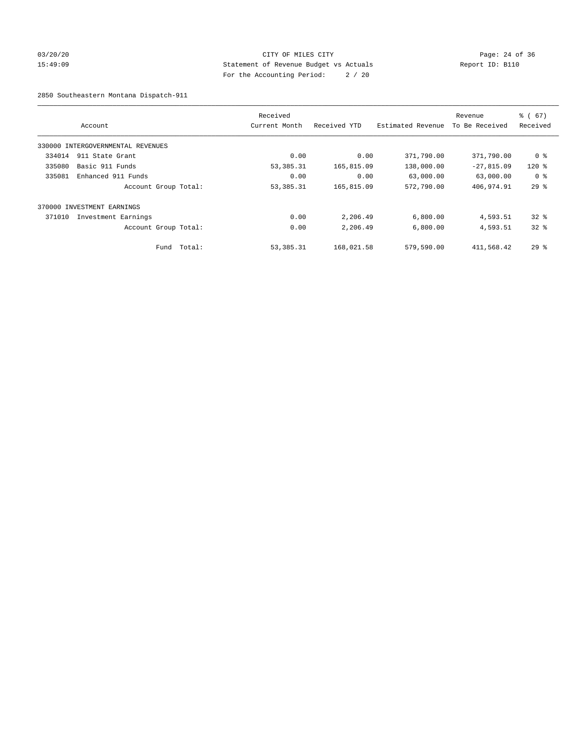# 03/20/20 Page: 24 of 36 Page: 24 of 36 Page: 24 of 36 Page: 24 of 36 Page: 24 of 36 15:49:09 Statement of Revenue Budget vs Actuals Report ID: B110 For the Accounting Period: 2 / 20

2850 Southeastern Montana Dispatch-911

|        | Account                           |        | Received<br>Current Month | Received YTD | Estimated Revenue | Revenue<br>To Be Received | % (67)<br>Received |
|--------|-----------------------------------|--------|---------------------------|--------------|-------------------|---------------------------|--------------------|
|        |                                   |        |                           |              |                   |                           |                    |
|        | 330000 INTERGOVERNMENTAL REVENUES |        |                           |              |                   |                           |                    |
| 334014 | 911 State Grant                   |        | 0.00                      | 0.00         | 371,790.00        | 371,790.00                | 0 <sup>8</sup>     |
| 335080 | Basic 911 Funds                   |        | 53, 385. 31               | 165,815.09   | 138,000.00        | $-27,815.09$              | $120*$             |
| 335081 | Enhanced 911 Funds                |        | 0.00                      | 0.00         | 63,000.00         | 63,000.00                 | 0 <sup>8</sup>     |
|        | Account Group Total:              |        | 53, 385. 31               | 165,815.09   | 572,790.00        | 406,974.91                | 29%                |
|        | 370000 INVESTMENT EARNINGS        |        |                           |              |                   |                           |                    |
| 371010 | Investment Earnings               |        | 0.00                      | 2,206.49     | 6,800.00          | 4,593.51                  | $32$ $%$           |
|        | Account Group Total:              |        | 0.00                      | 2,206.49     | 6,800.00          | 4,593.51                  | 328                |
|        | Fund                              | Total: | 53, 385. 31               | 168,021.58   | 579,590.00        | 411,568.42                | $29*$              |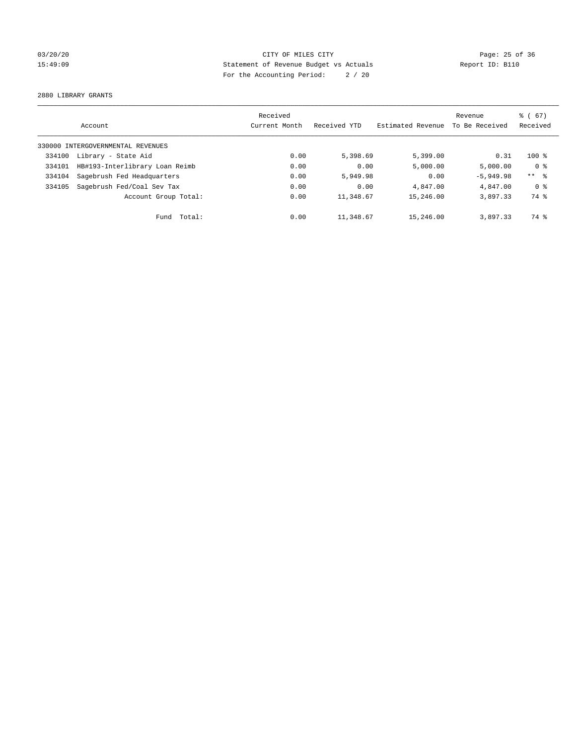# 03/20/20 Page: 25 of 36 Page: 25 of 36 Page: 25 of 36 Page: 25 of 36 Page: 25 of 36 15:49:09 Statement of Revenue Budget vs Actuals Report ID: B110 For the Accounting Period: 2 / 20

2880 LIBRARY GRANTS

|        |                                   | Received      |              |                   | Revenue        | $\frac{1}{6}$ (67) |
|--------|-----------------------------------|---------------|--------------|-------------------|----------------|--------------------|
|        | Account                           | Current Month | Received YTD | Estimated Revenue | To Be Received | Received           |
|        | 330000 INTERGOVERNMENTAL REVENUES |               |              |                   |                |                    |
| 334100 | Library - State Aid               | 0.00          | 5,398.69     | 5,399.00          | 0.31           | $100*$             |
| 334101 | HB#193-Interlibrary Loan Reimb    | 0.00          | 0.00         | 5,000.00          | 5,000.00       | 0 <sup>8</sup>     |
| 334104 | Sagebrush Fed Headquarters        | 0.00          | 5,949.98     | 0.00              | $-5.949.98$    | $***$ $ -$         |
| 334105 | Sagebrush Fed/Coal Sev Tax        | 0.00          | 0.00         | 4,847.00          | 4,847.00       | 0 <sup>8</sup>     |
|        | Account Group Total:              | 0.00          | 11,348.67    | 15,246.00         | 3,897.33       | 74 %               |
|        | Fund Total:                       | 0.00          | 11,348.67    | 15,246.00         | 3,897.33       | 74 %               |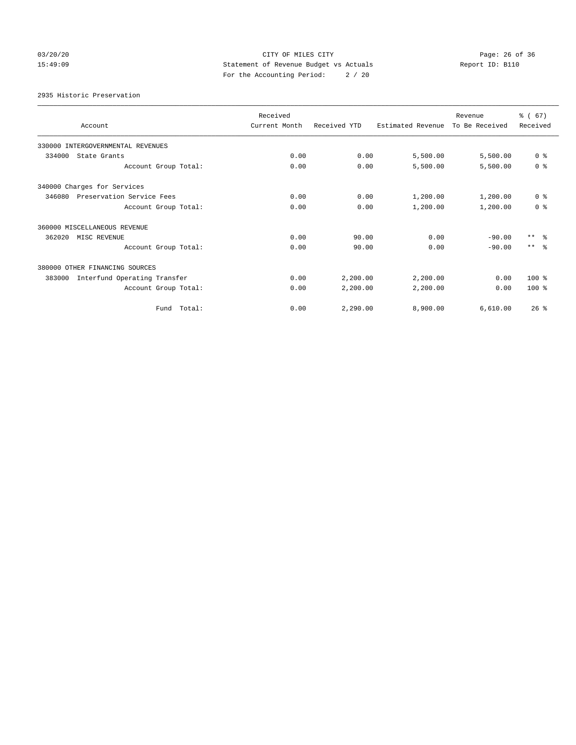# 03/20/20 Page: 26 of 36 Page: 26 of 36 Page: 26 Of 36 Page: 26 Of 36 Page: 26 Of 36 15:49:09 Statement of Revenue Budget vs Actuals Report ID: B110 For the Accounting Period: 2 / 20

2935 Historic Preservation

| Account                                | Received<br>Current Month | Received YTD | Estimated Revenue | Revenue<br>To Be Received | % (67)<br>Received |
|----------------------------------------|---------------------------|--------------|-------------------|---------------------------|--------------------|
| 330000 INTERGOVERNMENTAL REVENUES      |                           |              |                   |                           |                    |
| 334000<br>State Grants                 | 0.00                      | 0.00         | 5,500.00          | 5,500.00                  | 0 <sup>8</sup>     |
| Account Group Total:                   | 0.00                      | 0.00         | 5,500.00          | 5,500.00                  | 0 <sup>8</sup>     |
| 340000 Charges for Services            |                           |              |                   |                           |                    |
| 346080<br>Preservation Service Fees    | 0.00                      | 0.00         | 1,200.00          | 1,200.00                  | 0 <sup>8</sup>     |
| Account Group Total:                   | 0.00                      | 0.00         | 1,200.00          | 1,200.00                  | 0 <sup>8</sup>     |
| 360000 MISCELLANEOUS REVENUE           |                           |              |                   |                           |                    |
| 362020<br>MISC REVENUE                 | 0.00                      | 90.00        | 0.00              | $-90.00$                  | $***$ $ -$         |
| Account Group Total:                   | 0.00                      | 90.00        | 0.00              | $-90.00$                  | $***$ $\approx$    |
| 380000 OTHER FINANCING SOURCES         |                           |              |                   |                           |                    |
| Interfund Operating Transfer<br>383000 | 0.00                      | 2,200.00     | 2,200.00          | 0.00                      | $100*$             |
| Account Group Total:                   | 0.00                      | 2,200.00     | 2,200.00          | 0.00                      | $100*$             |
| Fund Total:                            | 0.00                      | 2.290.00     | 8,900.00          | 6.610.00                  | 26%                |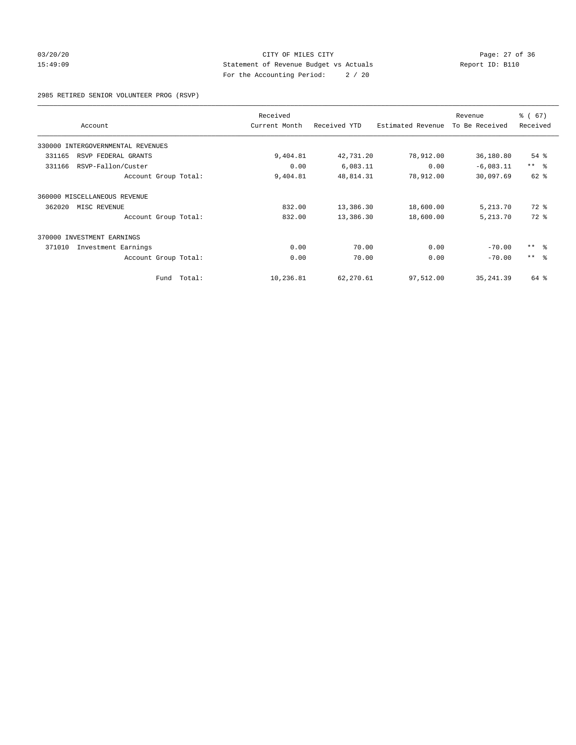# 03/20/20 Page: 27 of 36 CITY OF MILES CITY CONTROL PAGE: 27 of 36 15:49:09 Statement of Revenue Budget vs Actuals Report ID: B110 For the Accounting Period: 2 / 20

2985 RETIRED SENIOR VOLUNTEER PROG (RSVP)

|                                   | Received      |              |                   | Revenue        | % (67)     |
|-----------------------------------|---------------|--------------|-------------------|----------------|------------|
| Account                           | Current Month | Received YTD | Estimated Revenue | To Be Received | Received   |
| 330000 INTERGOVERNMENTAL REVENUES |               |              |                   |                |            |
| 331165<br>RSVP FEDERAL GRANTS     | 9,404.81      | 42,731.20    | 78,912.00         | 36,180.80      | $54$ $%$   |
| 331166<br>RSVP-Fallon/Custer      | 0.00          | 6,083.11     | 0.00              | $-6,083.11$    | $***$ $ -$ |
| Account Group Total:              | 9,404.81      | 48,814.31    | 78,912.00         | 30,097.69      | 62 %       |
| 360000 MISCELLANEOUS REVENUE      |               |              |                   |                |            |
| 362020<br>MISC REVENUE            | 832.00        | 13,386.30    | 18,600.00         | 5,213.70       | 72 %       |
| Account Group Total:              | 832.00        | 13,386.30    | 18,600.00         | 5,213.70       | $72$ $%$   |
| 370000<br>INVESTMENT EARNINGS     |               |              |                   |                |            |
| 371010<br>Investment Earnings     | 0.00          | 70.00        | 0.00              | $-70.00$       | $***$ $-$  |
| Account Group Total:              | 0.00          | 70.00        | 0.00              | $-70.00$       | $***$ $ -$ |
| Fund Total:                       | 10,236.81     | 62,270.61    | 97,512.00         | 35, 241.39     | 64 %       |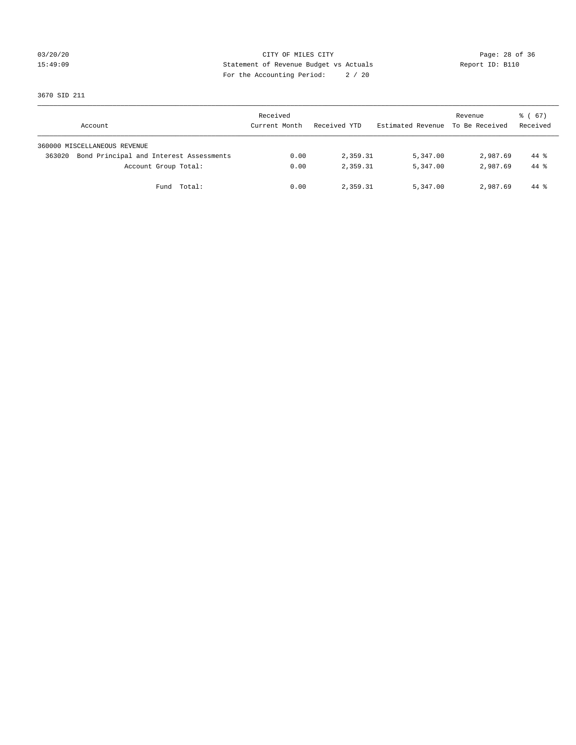# 03/20/20 Page: 28 of 36 Page: 28 of 36 Page: 28 Of 36 Page: 28 Of 36 Page: 28 Of 36 15:49:09 Statement of Revenue Budget vs Actuals Report ID: B110 For the Accounting Period: 2 / 20

3670 SID 211

| Account                                           | Received<br>Current Month | Received YTD | Estimated Revenue | Revenue<br>To Be Received | $\frac{1}{6}$ (67)<br>Received |
|---------------------------------------------------|---------------------------|--------------|-------------------|---------------------------|--------------------------------|
| 360000 MISCELLANEOUS REVENUE                      |                           |              |                   |                           |                                |
| Bond Principal and Interest Assessments<br>363020 | 0.00                      | 2,359.31     | 5,347.00          | 2,987.69                  | 44 %                           |
| Account Group Total:                              | 0.00                      | 2,359.31     | 5,347.00          | 2,987.69                  | $44*$                          |
| Fund Total:                                       | 0.00                      | 2,359.31     | 5,347.00          | 2,987.69                  | $44*$                          |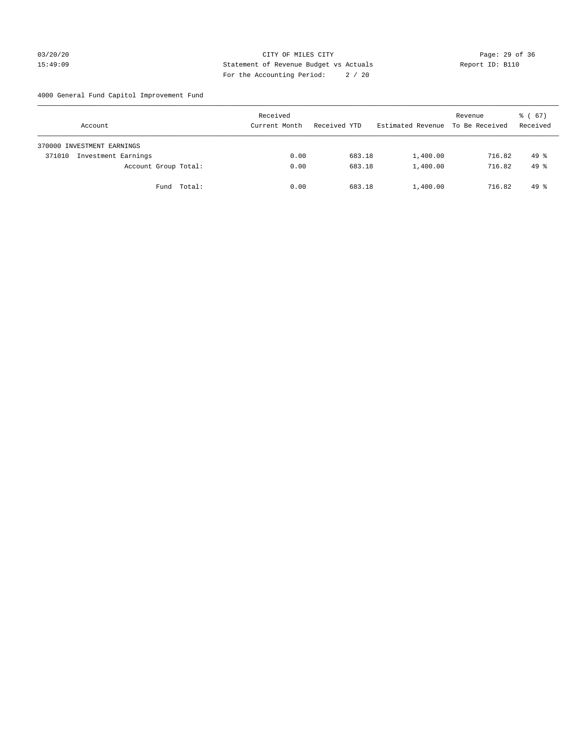# 03/20/20 Page: 29 of 36 15:49:09 Statement of Revenue Budget vs Actuals Report ID: B110 For the Accounting Period: 2 / 20

4000 General Fund Capitol Improvement Fund

|        | Account                    |             | Received<br>Current Month |      | Received YTD |        | Estimated Revenue | Revenue<br>To Be Received | 8 ( 67 )<br>Received |
|--------|----------------------------|-------------|---------------------------|------|--------------|--------|-------------------|---------------------------|----------------------|
|        | 370000 INVESTMENT EARNINGS |             |                           |      |              |        |                   |                           |                      |
| 371010 | Investment Earnings        |             |                           | 0.00 |              | 683.18 | 1,400.00          | 716.82                    | $49*$                |
|        | Account Group Total:       |             |                           | 0.00 |              | 683.18 | 1,400.00          | 716.82                    | $49*$                |
|        |                            | Fund Total: |                           | 0.00 |              | 683.18 | 1,400.00          | 716.82                    | $49*$                |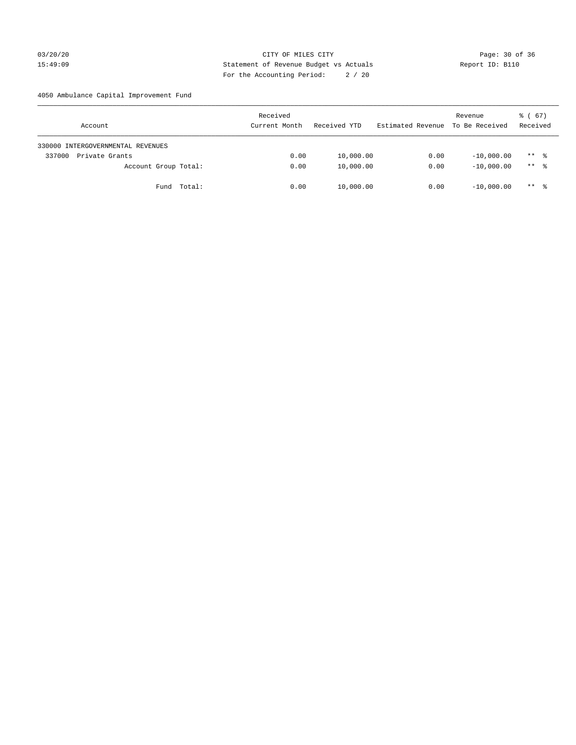# 03/20/20 Page: 30 of 36 Page: 30 of 36 Page: 30 of 36 Page: 30 of 36 Page: 30 of 36 Page: 30 of 36 Page: 30 of 36 15:49:09 Statement of Revenue Budget vs Actuals Report ID: B110 For the Accounting Period: 2 / 20

4050 Ambulance Capital Improvement Fund

| Account                           | Received<br>Current Month | Received YTD | Estimated Revenue | Revenue<br>To Be Received | $\frac{1}{6}$ (67)<br>Received |
|-----------------------------------|---------------------------|--------------|-------------------|---------------------------|--------------------------------|
| 330000 INTERGOVERNMENTAL REVENUES |                           |              |                   |                           |                                |
| 337000<br>Private Grants          | 0.00                      | 10,000.00    | 0.00              | $-10,000.00$              | $***$ %                        |
| Account Group Total:              | 0.00                      | 10,000.00    | 0.00              | $-10,000.00$              | $***$ %                        |
| Total:<br>Fund                    | 0.00                      | 10,000.00    | 0.00              | $-10,000,00$              | $***$ %                        |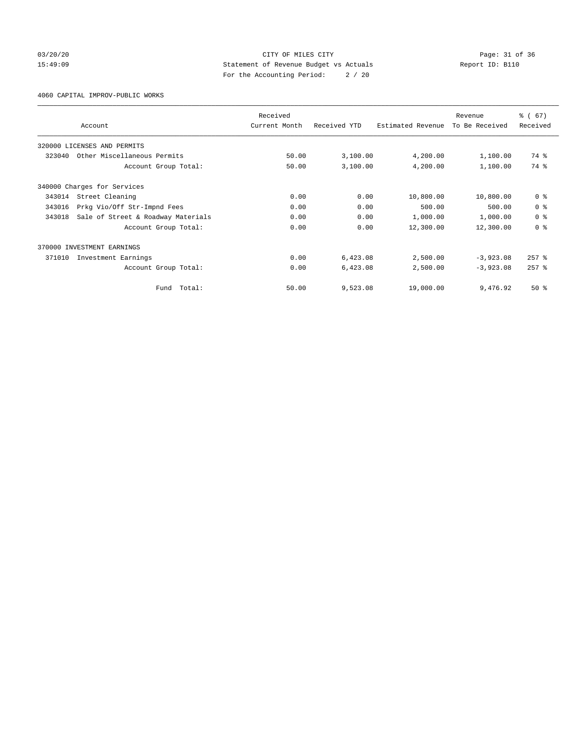# 03/20/20 Page: 31 of 36 Page: 31 of 36 Page: 31 of 36 Page: 31 of 36 Page: 31 of 36 Page: 31 of 36 Page: 31 of 36 15:49:09 Statement of Revenue Budget vs Actuals Report ID: B110 For the Accounting Period: 2 / 20

4060 CAPITAL IMPROV-PUBLIC WORKS

|        |                                    | Received      |              |                   | Revenue        | % (67)         |
|--------|------------------------------------|---------------|--------------|-------------------|----------------|----------------|
|        | Account                            | Current Month | Received YTD | Estimated Revenue | To Be Received | Received       |
|        | 320000 LICENSES AND PERMITS        |               |              |                   |                |                |
| 323040 | Other Miscellaneous Permits        | 50.00         | 3,100.00     | 4,200.00          | 1,100.00       | 74 %           |
|        | Account Group Total:               | 50.00         | 3,100.00     | 4,200.00          | 1,100.00       | 74 %           |
|        | 340000 Charges for Services        |               |              |                   |                |                |
| 343014 | Street Cleaning                    | 0.00          | 0.00         | 10,800.00         | 10,800.00      | 0 <sup>8</sup> |
| 343016 | Prkg Vio/Off Str-Impnd Fees        | 0.00          | 0.00         | 500.00            | 500.00         | 0 <sup>8</sup> |
| 343018 | Sale of Street & Roadway Materials | 0.00          | 0.00         | 1,000.00          | 1,000.00       | 0 <sup>8</sup> |
|        | Account Group Total:               | 0.00          | 0.00         | 12,300.00         | 12,300.00      | 0 <sup>8</sup> |
|        | 370000 INVESTMENT EARNINGS         |               |              |                   |                |                |
| 371010 | Investment Earnings                | 0.00          | 6,423.08     | 2,500.00          | $-3,923.08$    | $257$ $%$      |
|        | Account Group Total:               | 0.00          | 6,423.08     | 2,500.00          | $-3,923.08$    | $257$ $%$      |
|        | Total:<br>Fund                     | 50.00         | 9,523.08     | 19,000.00         | 9,476.92       | $50*$          |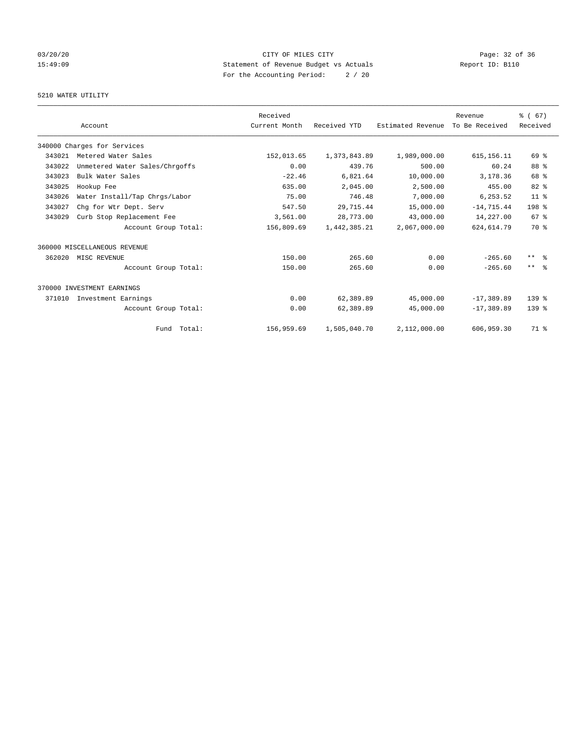# 03/20/20 Page: 32 of 36 Page: 32 of 36 Page: 32 of 36 Page: 32 of 36 Page: 32 of 36 Page: 32 of 36 Page: 32 of 36 15:49:09 Statement of Revenue Budget vs Actuals Report ID: B110 For the Accounting Period: 2 / 20

# 5210 WATER UTILITY

|        |                                | Received      |              |                   | Revenue        | % (67)                  |
|--------|--------------------------------|---------------|--------------|-------------------|----------------|-------------------------|
|        | Account                        | Current Month | Received YTD | Estimated Revenue | To Be Received | Received                |
|        | 340000 Charges for Services    |               |              |                   |                |                         |
| 343021 | Metered Water Sales            | 152,013.65    | 1,373,843.89 | 1,989,000.00      | 615, 156. 11   | 69%                     |
| 343022 | Unmetered Water Sales/Chrgoffs | 0.00          | 439.76       | 500.00            | 60.24          | 88 %                    |
| 343023 | Bulk Water Sales               | $-22.46$      | 6,821.64     | 10,000.00         | 3,178.36       | 68 %                    |
| 343025 | Hookup Fee                     | 635.00        | 2,045.00     | 2,500.00          | 455.00         | 82 %                    |
| 343026 | Water Install/Tap Chrgs/Labor  | 75.00         | 746.48       | 7,000.00          | 6,253.52       | 11 <sup>°</sup>         |
| 343027 | Chg for Wtr Dept. Serv         | 547.50        | 29,715.44    | 15,000.00         | $-14, 715.44$  | 198 %                   |
| 343029 | Curb Stop Replacement Fee      | 3,561.00      | 28,773.00    | 43,000.00         | 14,227.00      | 67 <sup>8</sup>         |
|        | Account Group Total:           | 156,809.69    | 1,442,385.21 | 2,067,000.00      | 624, 614.79    | 70 %                    |
|        | 360000 MISCELLANEOUS REVENUE   |               |              |                   |                |                         |
| 362020 | MISC REVENUE                   | 150.00        | 265.60       | 0.00              | $-265.60$      | $***$ $=$ $\frac{6}{5}$ |
|        | Account Group Total:           | 150.00        | 265.60       | 0.00              | $-265.60$      | $***$ $ -$              |
|        | 370000 INVESTMENT EARNINGS     |               |              |                   |                |                         |
| 371010 | Investment Earnings            | 0.00          | 62,389.89    | 45,000.00         | $-17,389.89$   | $139*$                  |
|        | Account Group Total:           | 0.00          | 62,389.89    | 45,000.00         | $-17, 389.89$  | 139.8                   |
|        | Fund Total:                    | 156,959.69    | 1,505,040.70 | 2,112,000.00      | 606,959.30     | 71 %                    |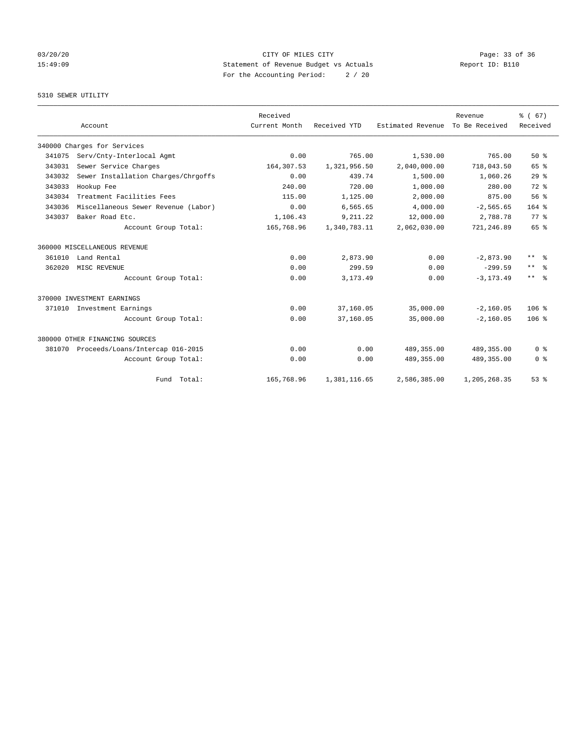# 03/20/20 Page: 33 of 36 Page: 33 of 36 Page: 33 of 36 Page: 33 of 36 Page: 33 of 36 Page: 33 of 36 Page: 33 of 36 15:49:09 Statement of Revenue Budget vs Actuals Report ID: B110 For the Accounting Period: 2 / 20

### 5310 SEWER UTILITY

|        |                                     | Received      |              |                   | Revenue        | % (67)                    |
|--------|-------------------------------------|---------------|--------------|-------------------|----------------|---------------------------|
|        | Account                             | Current Month | Received YTD | Estimated Revenue | To Be Received | Received                  |
|        | 340000 Charges for Services         |               |              |                   |                |                           |
| 341075 | Serv/Cnty-Interlocal Agmt           | 0.00          | 765.00       | 1,530.00          | 765.00         | $50*$                     |
| 343031 | Sewer Service Charges               | 164,307.53    | 1,321,956.50 | 2,040,000.00      | 718,043.50     | 65 %                      |
| 343032 | Sewer Installation Charges/Chrgoffs | 0.00          | 439.74       | 1,500.00          | 1,060.26       | 29 <sup>8</sup>           |
| 343033 | Hookup Fee                          | 240.00        | 720.00       | 1,000.00          | 280.00         | 72 %                      |
| 343034 | Treatment Facilities Fees           | 115.00        | 1,125.00     | 2,000.00          | 875.00         | 56%                       |
| 343036 | Miscellaneous Sewer Revenue (Labor) | 0.00          | 6,565.65     | 4,000.00          | $-2, 565.65$   | $164$ %                   |
| 343037 | Baker Road Etc.                     | 1,106.43      | 9,211.22     | 12,000.00         | 2,788.78       | 77.8                      |
|        | Account Group Total:                | 165,768.96    | 1,340,783.11 | 2,062,030.00      | 721,246.89     | 65 %                      |
|        | 360000 MISCELLANEOUS REVENUE        |               |              |                   |                |                           |
| 361010 | Land Rental                         | 0.00          | 2,873.90     | 0.00              | $-2.873.90$    | $\star\star$<br>- 옹       |
| 362020 | MISC REVENUE                        | 0.00          | 299.59       | 0.00              | $-299.59$      | $\star\star$<br>$\approx$ |
|        | Account Group Total:                | 0.00          | 3, 173.49    | 0.00              | $-3, 173.49$   | $***$ $=$ $\frac{6}{5}$   |
|        | 370000 INVESTMENT EARNINGS          |               |              |                   |                |                           |
| 371010 | Investment Earnings                 | 0.00          | 37,160.05    | 35,000.00         | $-2,160.05$    | 106 <sup>8</sup>          |
|        | Account Group Total:                | 0.00          | 37,160.05    | 35,000.00         | $-2, 160.05$   | 106 <sup>8</sup>          |
|        | 380000 OTHER FINANCING SOURCES      |               |              |                   |                |                           |
| 381070 | Proceeds/Loans/Intercap 016-2015    | 0.00          | 0.00         | 489, 355, 00      | 489, 355.00    | 0 <sup>8</sup>            |
|        | Account Group Total:                | 0.00          | 0.00         | 489, 355.00       | 489,355.00     | 0 <sup>8</sup>            |
|        | Fund Total:                         | 165,768.96    | 1,381,116.65 | 2,586,385.00      | 1,205,268.35   | 53%                       |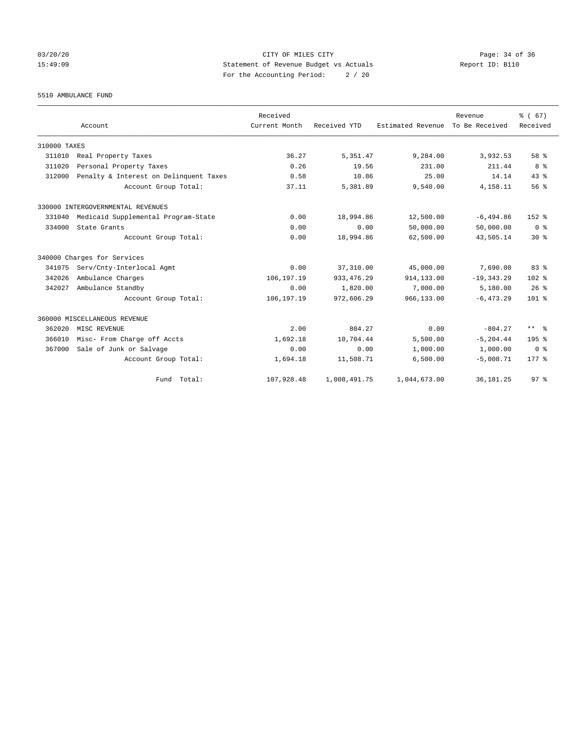03/20/20 Page: 34 of 36 Page: 34 of 36 Page: 34 of 36 Page: 34 of 36 Page: 34 Of 36 Page: 34 Of 36 Page: 34 Of 36 15:49:09 Statement of Revenue Budget vs Actuals Report ID: B110 For the Accounting Period: 2 / 20

5510 AMBULANCE FUND

|              | Account                                | Received<br>Current Month | Received YTD | Estimated Revenue | Revenue<br>To Be Received | % (67)<br>Received |
|--------------|----------------------------------------|---------------------------|--------------|-------------------|---------------------------|--------------------|
| 310000 TAXES |                                        |                           |              |                   |                           |                    |
| 311010       | Real Property Taxes                    | 36.27                     | 5,351.47     | 9,284.00          | 3,932.53                  | 58 %               |
| 311020       | Personal Property Taxes                | 0.26                      | 19.56        | 231.00            | 211.44                    | 8 %                |
| 312000       | Penalty & Interest on Delinquent Taxes | 0.58                      | 10.86        | 25.00             | 14.14                     | 43.8               |
|              | Account Group Total:                   | 37.11                     | 5,381.89     | 9,540.00          | 4,158.11                  | 56%                |
|              | 330000 INTERGOVERNMENTAL REVENUES      |                           |              |                   |                           |                    |
| 331040       | Medicaid Supplemental Program-State    | 0.00                      | 18,994.86    | 12,500.00         | $-6, 494.86$              | 152 %              |
| 334000       | State Grants                           | 0.00                      | 0.00         | 50,000.00         | 50,000.00                 | 0 <sup>8</sup>     |
|              | Account Group Total:                   | 0.00                      | 18,994.86    | 62,500.00         | 43,505.14                 | $30*$              |
|              | 340000 Charges for Services            |                           |              |                   |                           |                    |
| 341075       | Serv/Cnty-Interlocal Agmt              | 0.00                      | 37, 310.00   | 45,000.00         | 7,690.00                  | 83%                |
| 342026       | Ambulance Charges                      | 106,197.19                | 933, 476.29  | 914,133.00        | $-19, 343.29$             | 102 %              |
| 342027       | Ambulance Standby                      | 0.00                      | 1,820.00     | 7,000.00          | 5,180.00                  | 26%                |
|              | Account Group Total:                   | 106,197.19                | 972,606.29   | 966,133.00        | $-6, 473.29$              | $101$ %            |
|              | 360000 MISCELLANEOUS REVENUE           |                           |              |                   |                           |                    |
| 362020       | MISC REVENUE                           | 2.00                      | 804.27       | 0.00              | $-804.27$                 | ** %               |
| 366010       | Misc- From Charge off Accts            | 1,692.18                  | 10,704.44    | 5,500.00          | $-5, 204.44$              | 195 <sub>8</sub>   |
| 367000       | Sale of Junk or Salvage                | 0.00                      | 0.00         | 1,000.00          | 1,000.00                  | 0 <sup>8</sup>     |
|              | Account Group Total:                   | 1,694.18                  | 11,508.71    | 6,500.00          | $-5,008.71$               | $177*$             |
|              | Fund Total:                            | 107,928.48                | 1,008,491.75 | 1,044,673.00      | 36, 181. 25               | 97 <sup>8</sup>    |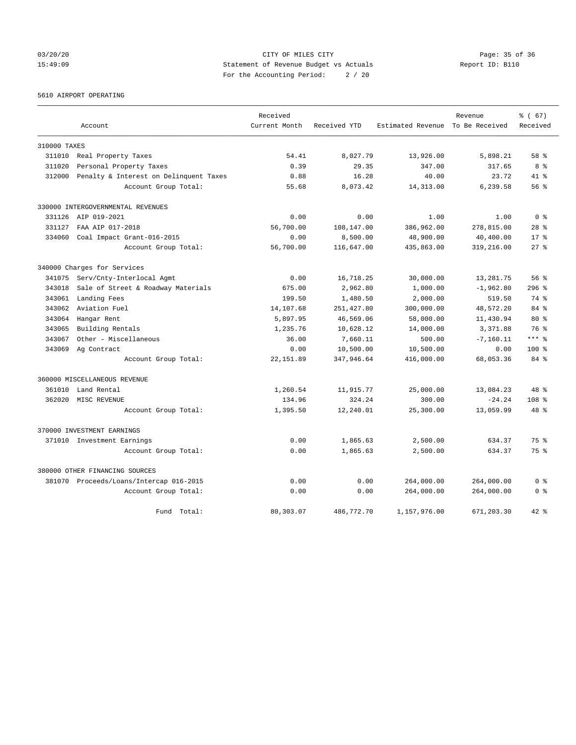03/20/20 Page: 35 of 36 Page: 35 of 36 Page: 35 of 36 Page: 35 of 36 Page: 35 of 36 Page: 35 of 36 Page: 35 of 36 15:49:09 Statement of Revenue Budget vs Actuals Report ID: B110 For the Accounting Period: 2 / 20

5610 AIRPORT OPERATING

|              |                                         | Received      |              |                                  | Revenue      | % (67)           |
|--------------|-----------------------------------------|---------------|--------------|----------------------------------|--------------|------------------|
|              | Account                                 | Current Month | Received YTD | Estimated Revenue To Be Received |              | Received         |
| 310000 TAXES |                                         |               |              |                                  |              |                  |
| 311010       | Real Property Taxes                     | 54.41         | 8,027.79     | 13,926.00                        | 5,898.21     | 58 %             |
| 311020       | Personal Property Taxes                 | 0.39          | 29.35        | 347.00                           | 317.65       | 8 %              |
| 312000       | Penalty & Interest on Delinquent Taxes  | 0.88          | 16.28        | 40.00                            | 23.72        | 41.8             |
|              | Account Group Total:                    | 55.68         | 8,073.42     | 14,313.00                        | 6,239.58     | 56 <sup>8</sup>  |
|              | 330000 INTERGOVERNMENTAL REVENUES       |               |              |                                  |              |                  |
| 331126       | AIP 019-2021                            | 0.00          | 0.00         | 1.00                             | 1.00         | 0 <sup>8</sup>   |
| 331127       | FAA AIP 017-2018                        | 56,700.00     | 108,147.00   | 386,962.00                       | 278,815.00   | $28$ %           |
| 334060       | Coal Impact Grant-016-2015              | 0.00          | 8,500.00     | 48,900.00                        | 40,400.00    | $17*$            |
|              | Account Group Total:                    | 56,700.00     | 116,647.00   | 435,863.00                       | 319,216.00   | $27$ $%$         |
|              | 340000 Charges for Services             |               |              |                                  |              |                  |
| 341075       | Serv/Cnty-Interlocal Agmt               | 0.00          | 16,718.25    | 30,000.00                        | 13,281.75    | 56%              |
| 343018       | Sale of Street & Roadway Materials      | 675.00        | 2,962.80     | 1,000.00                         | $-1,962.80$  | 296%             |
| 343061       | Landing Fees                            | 199.50        | 1,480.50     | 2,000.00                         | 519.50       | 74 %             |
| 343062       | Aviation Fuel                           | 14,107.68     | 251, 427.80  | 300,000.00                       | 48,572.20    | 84 %             |
| 343064       | Hangar Rent                             | 5,897.95      | 46,569.06    | 58,000.00                        | 11,430.94    | $80*$            |
| 343065       | Building Rentals                        | 1,235.76      | 10,628.12    | 14,000.00                        | 3,371.88     | 76 %             |
| 343067       | Other - Miscellaneous                   | 36.00         | 7,660.11     | 500.00                           | $-7, 160.11$ | $***$ $%$        |
| 343069       | Ag Contract                             | 0.00          | 10,500.00    | 10,500.00                        | 0.00         | $100*$           |
|              | Account Group Total:                    | 22, 151.89    | 347,946.64   | 416,000.00                       | 68,053.36    | 84 %             |
|              | 360000 MISCELLANEOUS REVENUE            |               |              |                                  |              |                  |
| 361010       | Land Rental                             | 1,260.54      | 11,915.77    | 25,000.00                        | 13,084.23    | 48 %             |
| 362020       | MISC REVENUE                            | 134.96        | 324.24       | 300.00                           | $-24.24$     | 108 <sub>8</sub> |
|              | Account Group Total:                    | 1,395.50      | 12,240.01    | 25,300.00                        | 13,059.99    | 48 %             |
|              | 370000 INVESTMENT EARNINGS              |               |              |                                  |              |                  |
|              | 371010 Investment Earnings              | 0.00          | 1,865.63     | 2,500.00                         | 634.37       | 75%              |
|              | Account Group Total:                    | 0.00          | 1,865.63     | 2,500.00                         | 634.37       | $75*$            |
|              | 380000 OTHER FINANCING SOURCES          |               |              |                                  |              |                  |
|              | 381070 Proceeds/Loans/Intercap 016-2015 | 0.00          | 0.00         | 264,000.00                       | 264,000.00   | 0 <sup>8</sup>   |
|              | Account Group Total:                    | 0.00          | 0.00         | 264,000.00                       | 264,000.00   | 0 <sup>8</sup>   |
|              | Fund Total:                             | 80,303.07     | 486,772.70   | 1,157,976.00                     | 671,203.30   | $42*$            |